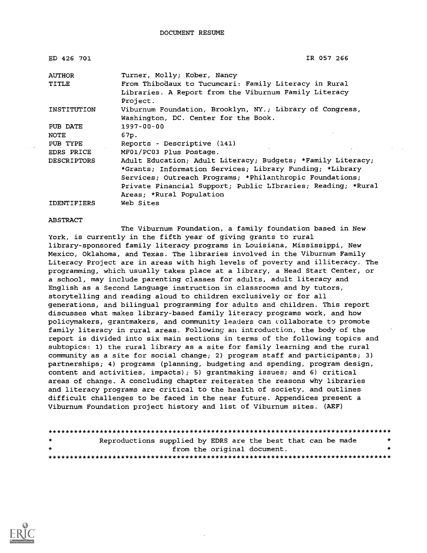| ED 426 701         | IR 057 266                                                   |
|--------------------|--------------------------------------------------------------|
| <b>AUTHOR</b>      | Turner, Molly; Kober, Nancy                                  |
| TITLE              | From Thibodaux to Tucumcari: Family Literacy in Rural        |
|                    | Libraries. A Report from the Viburnum Family Literacy        |
|                    | Project.                                                     |
| INSTITUTION        | Viburnum Foundation, Brooklyn, NY.; Library of Congress,     |
|                    | Washington, DC. Center for the Book.                         |
| PUB DATE           | $1997 - 00 - 00$                                             |
| NOTE               | 67p.                                                         |
| PUB TYPE           | Reports - Descriptive (141)                                  |
| EDRS PRICE         | MF01/PC03 Plus Postage.                                      |
| <b>DESCRIPTORS</b> | Adult Education; Adult Literacy; Budgets; *Family Literacy;  |
|                    | *Grants; Information Services; Library Funding; *Library     |
|                    | Services; Outreach Programs; *Philanthropic Foundations;     |
|                    | Private Financial Support; Public LIbraries; Reading; *Rural |
|                    | Areas: *Rural Population                                     |
| <b>IDENTIFIERS</b> | Web Sites                                                    |

#### ABSTRACT

The Viburnum Foundation, a family foundation based in New York, is currently in the fifth year of giving grants to rural library-sponsored family literacy programs in Louisiana, Mississippi, New Mexico, Oklahoma, and Texas. The libraries involved in the Viburnum Family Literacy Project are in areas with high levels of poverty and illiteracy. The programming, which usually takes place at a library, a Head Start Center, or a school, may include parenting classes for adults, adult literacy and English as a Second Language instruction in classrooms and by tutors, storytelling and reading aloud to children exclusively or for all generations, and bilingual programming for adults and children. This report discusses what makes library-based family literacy programs work, and how policymakers, grantmakers, and community leaders can collaborate to promote family literacy in rural areas. Following an introduction, the body of the report is divided into six main sections in terms of the following topics and subtopics: 1) the rural library as a site for family learning and the rural community as a site for social change; 2) program staff and participants; 3) partnerships; 4) programs (planning, budgeting and spending, program design, content and activities, impacts); 5) grantmaking issues; and 6) critical areas of change. A concluding chapter reiterates the reasons why libraries and literacy programs are critical to the health of society, and outlines difficult challenges to be faced in the near future. Appendices present a Viburnum Foundation project history and list of Viburnum sites. (AEF)

| $\star$ | Reproductions supplied by EDRS are the best that can be made |  |
|---------|--------------------------------------------------------------|--|
| $\star$ | from the original document.                                  |  |
|         |                                                              |  |

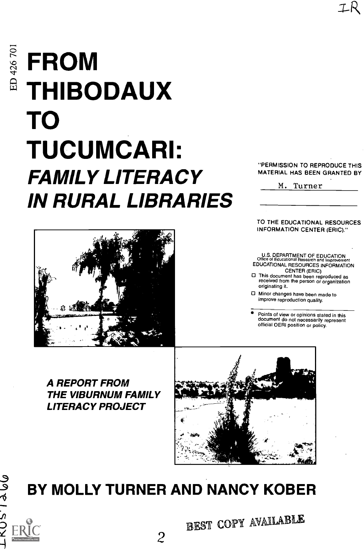# **E**<br>E TUIDO **THIBODAUX** TO TUCUMCARI: **FAMILY LITERACY** MATERIAL I IN RURAL LIBRARIES



"PERMISSION TO REPRODUCE THIS MATERIAL HAS BEEN GRANTED BY

IR

Turner

TO THE EDUCATIONAL RESOURCES INFORMATION CENTER (ERIC)."

U.S. DEPARTMENT OF EDUCATION Office ol Educational Research and Improvement EDUCATIONAL RESOURCES INFORMATION

- CENTER (ERIC)<br>O This document has been reproduced as<br>received from the person or organization originating it.
- 0 Minor changes have been made to improve reproduction quality.

Points of view or opinions stated in this document do not necessarily represent official OERI position or policy.

A REPORT FROM THE VIBURNUM FAMILY LITERACY PROJECT





# $\frac{9}{6}$  BY MOLLY TURNER AND NANCY KOBER

2

BEST COPY AVAILABLE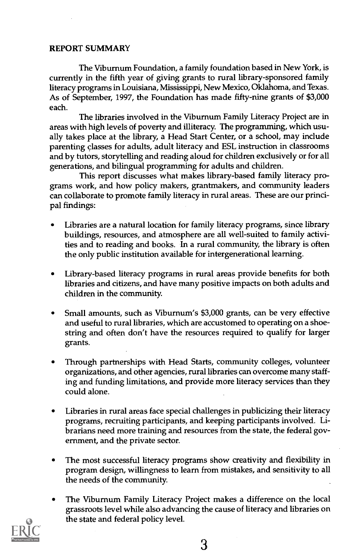#### REPORT SUMMARY

The Viburnum Foundation, a family foundation based in New York, is currently in the fifth year of giving grants to rural library-sponsored family literacy programs in Louisiana, Mississippi, New Mexico, Oklahoma, and Texas. As of September, 1997, the Foundation has made fifty-nine grants of \$3,000 each.

The libraries involved in the Viburnum Family Literacy Project are in areas with high levels of poverty and illiteracy. The programming, which usually takes place at the library, a Head Start Center, or a school, may include parenting classes for adults, adult literacy and ESL instruction in classrooms and by tutors, storytelling and reading aloud for children exclusively or for all generations, and bilingual programming for adults and children.

This report discusses what makes library-based family literacy programs work, and how policy makers, grantmakers, and community leaders can collaborate to promote family literacy in rural areas. These are our principal findings:

- Libraries are a natural location for family literacy programs, since library buildings, resources, and atmosphere are all well-suited to family activities and to reading and books. In a rural community, the library is often the only public institution available for intergenerational learning.
- $\bullet$ Library-based literacy programs in rural areas provide benefits for both libraries and citizens, and have many positive impacts on both adults and children in the community.
- Small amounts, such as Viburnum's \$3,000 grants, can be very effective and useful to rural libraries, which are accustomed to operating on a shoestring and often don't have the resources required to qualify for larger grants.
- Through partnerships with Head Starts, community colleges, volunteer organizations, and other agencies, rural libraries can overcome many staffing and funding limitations, and provide more literacy services than they could alone.
- Libraries in rural areas face special challenges in publicizing their literacy programs, recruiting participants, and keeping participants involved. Librarians need more training and resources from the state, the federal government, and the private sector.
- The most successful literacy programs show creativity and flexibility in program design, willingness to learn from mistakes, and sensitivity to all the needs of the community.
- The Viburnum Family Literacy Project makes a difference on the local grassroots level while also advancing the cause of literacy and libraries on the state and federal policy level.



3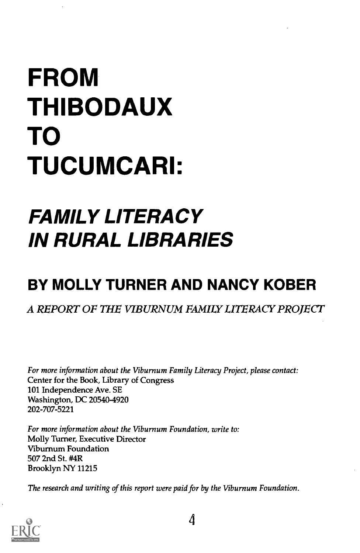# FROM THIBODAUX TO TUCUMCARI:

# FAMILY LITERACY IN RURAL LIBRARIES

# BY MOLLY TURNER AND NANCY KOBER

# A REPORT OF THE VIBURNUM FAMILY LITERACY PROJECT

For more information about the Viburnum Family Literacy Project, please contact: Center for the Book, Library of Congress 101 Independence Ave. SE Washington, DC 20540-4920 202-707-5221

For more information about the Viburnum Foundation, write to: Molly Turner, Executive Director Viburnum Foundation 507 2nd St. #4R Brooklyn NY 11215

The research and writing of this report were paid for by the Viburnum Foundation.



4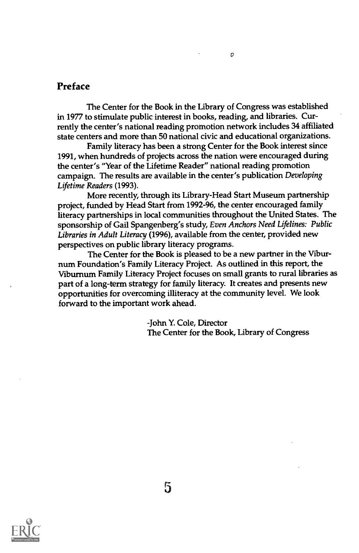#### Preface

The Center for the Book in the Library of Congress was established in 1977 to stimulate public interest in books, reading, and libraries. Currently the center's national reading promotion network includes 34 affiliated state centers and more than 50 national civic and educational organizations.

Family literacy has been a strong Center for the Book interest since 1991, when hundreds of projects across the nation were encouraged during the center's "Year of the Lifetime Reader" national reading promotion campaign. The results are available in the center's publication Developing Lifetime Readers (1993).

More recently, through its Library-Head Start Museum partnership project, funded by Head Start from 1992-96, the center encouraged family literacy partnerships in local communities throughout the United States. The sponsorship of Gail Spangenberg's study, Even Anchors Need Lifelines: Public Libraries in Adult Literacy (1996), available from the center, provided new perspectives on public library literacy programs.

The Center for the Book is pleased to be a new partner in the Viburnum Foundation's Family Literacy Project. As outlined in this report, the Viburnum Family Literacy Project focuses on small grants to rural libraries as part of a long-term strategy for family literacy. It creates and presents new opportunities for overcoming illiteracy at the community level. We look forward to the important work ahead.

> -John Y. Cole, Director The Center for the Book, Library of Congress

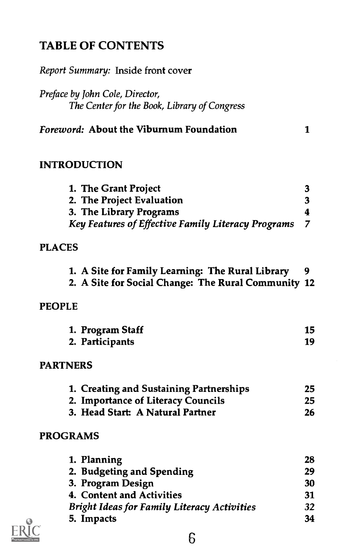# TABLE OF CONTENTS

| Report Summary: Inside front cover                        |   |
|-----------------------------------------------------------|---|
| Preface by John Cole, Director,                           |   |
| The Center for the Book, Library of Congress              |   |
| <i>Foreword: About the Viburnum Foundation</i>            | 1 |
| <b>INTRODUCTION</b>                                       |   |
| 1. The Grant Project                                      | 3 |
| 2. The Project Evaluation                                 | 3 |
| 3. The Library Programs                                   | 4 |
| <b>Key Features of Effective Family Literacy Programs</b> | 7 |

# PLACES

|  |  |  |  | 1. A Site for Family Learning: The Rural Library – |  |
|--|--|--|--|----------------------------------------------------|--|
|--|--|--|--|----------------------------------------------------|--|

2. A Site for Social Change: The Rural Community 12

## PEOPLE

| 1. Program Staff |    |
|------------------|----|
| 2. Participants  | 19 |

## PARTNERS

| 1. Creating and Sustaining Partnerships | 25  |
|-----------------------------------------|-----|
| 2. Importance of Literacy Councils      | -25 |
| 3. Head Start: A Natural Partner        | 26  |

# PROGRAMS

| 1. Planning                                        | 28  |
|----------------------------------------------------|-----|
| 2. Budgeting and Spending                          | 29  |
| 3. Program Design                                  | 30  |
| 4. Content and Activities                          | -31 |
| <b>Bright Ideas for Family Literacy Activities</b> | 32  |
| 5. Impacts                                         | 34  |

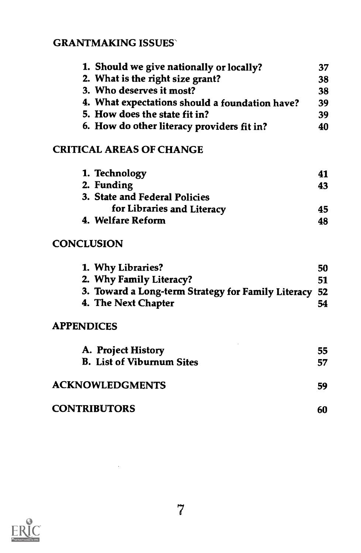# GRANTMAKING ISSUES'

| 37 |
|----|
| 38 |
| 38 |
| 39 |
| 39 |
| 40 |
|    |

# CRITICAL AREAS OF CHANGE

| 1. Technology                 | 41 |
|-------------------------------|----|
| 2. Funding                    | 43 |
| 3. State and Federal Policies |    |
| for Libraries and Literacy    | 45 |
| 4. Welfare Reform             | 48 |

# **CONCLUSION**

| 1. Why Libraries?                                     | 50 |
|-------------------------------------------------------|----|
| 2. Why Family Literacy?                               | 51 |
| 3. Toward a Long-term Strategy for Family Literacy 52 |    |
| 4. The Next Chapter                                   | 54 |

# APPENDICES

| A. Project History               | 55 |
|----------------------------------|----|
| <b>B.</b> List of Viburnum Sites | 57 |
| <b>ACKNOWLEDGMENTS</b>           | 59 |
| CONTRIBUTORS                     | 60 |

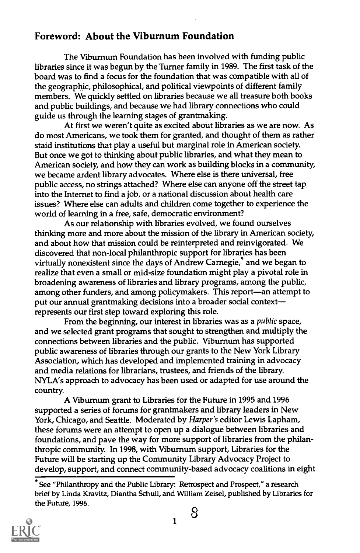## Foreword: About the Viburnum Foundation

The Viburnum Foundation has been involved with funding public libraries since it was begun by the Turner family in 1989. The first task of the board was to find a focus for the foundation that was compatible with all of the geographic, philosophical, and political viewpoints of different family members. We quickly settled on libraries because we all treasure both books and public buildings, and because we had library connections who could guide us through the learning stages of grantmaking.

At first we weren't quite as excited about libraries as we are now. As do most Americans, we took them for granted, and thought of them as rather staid institutions that play a useful but marginal role in American society. But once we got to thinking about public libraries, and what they mean to American society, and how they can work as building blocks in a community, we became ardent library advocates. Where else is there universal, free public access, no strings attached? Where else can anyone off the street tap into the Internet to find a job, or a national discussion about health care issues? Where else can adults and children come together to experience the world of learning in a free, safe, democratic environment?

As our relationship with libraries evolved, we found ourselves thinking more and more about the mission of the library in American society, and about how that mission could be reinterpreted and reinvigorated. We discovered that non-local philanthropic support for libraries has been virtually nonexistent since the days of Andrew Carnegie,<sup>\*</sup> and we began to realize that even a small or mid-size foundation might play a pivotal role in broadening awareness of libraries and library programs, among the public, among other funders, and among policymakers. This report—an attempt to put our annual grantmaking decisions into a broader social context represents our first step toward exploring this role.

From the beginning, our interest in libraries was as a public space, and we selected grant programs that sought to strengthen and multiply the connections between libraries and the public. Viburnum has supported public awareness of libraries through our grants to the New York Library Association, which has developed and implemented training in advocacy and media relations for librarians, trustees, and friends of the library. NYLA's approach to advocacy has been used or adapted for use around the country.

A Viburnum grant to Libraries for the Future in 1995 and 1996 supported a series of forums for grantmakers and library leaders in New York, Chicago, and Seattle. Moderated by Harper's editor Lewis Lapham, these forums were an attempt to open up a dialogue between libraries and foundations, and pave the way for more support of libraries from the philanthropic community. In 1998, with Viburnum support, Libraries for the Future will be starting up the Community Library Advocacy Project to develop, support, and connect community-based advocacy coalitions in eight

See "Philanthropy and the Public Library: Retrospect and Prospect," a research brief by Linda Kravitz, Diantha Schull, and William Zeisel, published by Libraries for the Future, 1996.



a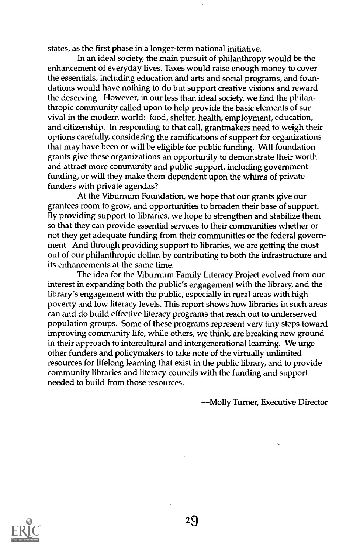states, as the first phase in a longer-term national initiative.

In an ideal society, the main pursuit of philanthropy would be the enhancement of everyday lives. Taxes would raise enough money to cover the essentials, including education and arts and social programs, and foundations would have nothing to do but support creative visions and reward the deserving. However, in our less than ideal society, we find the philanthropic community called upon to help provide the basic elements of survival in the modern world: food, shelter, health, employment, education, and citizenship. In responding to that call, grantmakers need to weigh their options carefully, considering the ramifications of support for organizations that may have been or will be eligible for public funding. Will foundation grants give these organizations an opportunity to demonstrate their worth and attract more community and public support, including government funding, or will they make them dependent upon the whims of private funders with private agendas?

At the Viburnum Foundation, we hope that our grants give our grantees room to grow, and opportunities to broaden their base of support. By providing support to libraries, we hope to strengthen and stabilize them so that they can provide essential services to their communities whether or not they get adequate funding from their communities or the federal government. And through providing support to libraries, we are getting the most out of our philanthropic dollar, by contributing to both the infrastructure and its enhancements at the same time.

The idea for the Viburnum Family Literacy Project evolved from our interest in expanding both the public's engagement with the library, and the library's engagement with the public, especially in rural areas with high poverty and low literacy levels. This report shows how libraries in such areas can and do build effective literacy programs that reach out to underserved population groups. Some of these programs represent very tiny steps toward improving community life, while others, we think, are breaking new ground in their approach to intercultural and intergenerational learning. We urge other funders and policymakers to take note of the virtually unlimited resources for lifelong learning that exist in the public library, and to provide community libraries and literacy councils with the funding and support needed to build from those resources.

Molly Turner, Executive Director

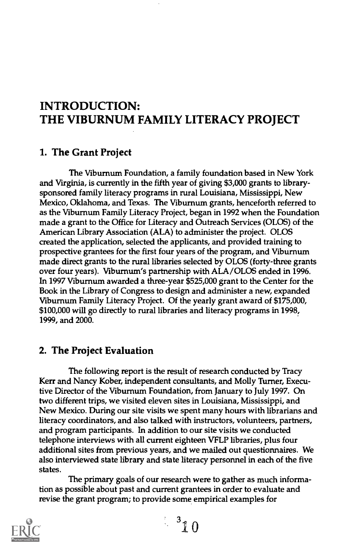# INTRODUCTION: THE VIBURNUM FAMILY LITERACY PROJECT

#### 1. The Grant Project

The Viburnum Foundation, a family foundation based in New York and Virginia, is currently in the fifth year of giving \$3,000 grants to librarysponsored family literacy programs in rural Louisiana, Mississippi, New Mexico, Oklahoma, and Texas. The Viburnum grants, henceforth referred to as the Viburnum Family Literacy Project, began in 1992 when the Foundation made a grant to the Office for Literacy and Outreach Services (OLOS) of the American Library Association (ALA) to administer the project. OLOS created the application, selected the applicants, and provided training to prospective grantees for the first four years of the program, and Viburnum made direct grants to the rural libraries selected by OLOS (forty-three grants over four years). Viburnum's partnership with ALA/OLOS ended in 1996. In 1997 Viburnum awarded a three-year \$525,000 grant to the Center for the Book in the Library of Congress to design and administer a new, expanded Viburnum Family Literacy Project. Of the yearly grant award of \$175,000, \$100,000 will go directly to rural libraries and literacy programs in 1998, 1999, and 2000.

## 2. The Project Evaluation

The following report is the result of research conducted by Tracy Kerr and Nancy Kober, independent consultants, and Molly Turner, Executive Director of the Viburnum Foundation, from January to July 1997. On two different trips, we visited eleven sites in Louisiana, Mississippi, and New Mexico. During our site visits we spent many hours with librarians and literacy coordinators, and also talked with instructors, volunteers, partners, and program participants. In addition to our site visits we conducted telephone interviews with all current eighteen VFLP libraries, plus four additional sites from previous years, and we mailed out questionnaires. We also interviewed state library and state literacy personnel in each of the five states.

The primary goals of our research were to gather as much information as possible about past and current grantees in order to evaluate and revise the grant program; to provide some empirical examples for



 $\begin{array}{c} 3 \\ 3 \ 1 \end{array}$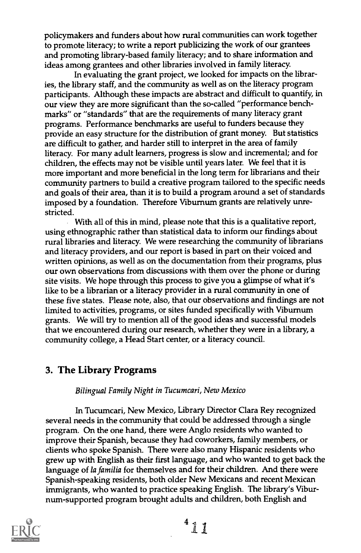policymakers and funders about how rural communities can work together to promote literacy; to write a report publicizing the work of our grantees and promoting library-based family literacy; and to share information and ideas among grantees and other libraries involved in family literacy.

In evaluating the grant project, we looked for impacts on the libraries, the library staff, and the community as well as on the literacy program participants. Although these impacts are abstract and difficult to quantify, in our view they are more significant than the so-called "performance benchmarks" or "standards" that are the requirements of many literacy grant programs. Performance benchmarks are useful to funders because they provide an easy structure for the distribution of grant money. But statistics are difficult to gather, and harder still to interpret in the area of family literacy. For many adult learners, progress is slow and incremental; and for children, the effects may not be visible until years later. We feel that it is more important and more beneficial in the long term for librarians and their community partners to build a creative program tailored to the specific needs and goals of their area, than it is to build a program around a set of standards imposed by a foundation. Therefore Viburnum grants are relatively unrestricted.

With all of this in mind, please note that this is a qualitative report, using ethnographic rather than statistical data to inform our findings about rural libraries and literacy. We were researching the community of librarians and literacy providers, and our report is based in part on their voiced and written opinions, as well as on the documentation from their programs, plus our own observations from discussions with them over the phone or during site visits. We hope through this process to give you a glimpse of what it's like to be a librarian or a literacy provider in a rural community in one of these five states. Please note, also, that our observations and findings are not limited to activities, programs, or sites funded specifically with Viburnum grants. We will try to mention all of the good ideas and successful models that we encountered during our research, whether they were in a library, a community college, a Head Start center, or a literacy council.

## 3. The Library Programs

Bilingual Family Night in Tucumcari, New Mexico

In Tucumcari, New Mexico, Library Director Clara Rey recognized several needs in the community that could be addressed through a single program. On the one hand, there were Anglo residents who wanted to improve their Spanish, because they had coworkers, family members, or clients who spoke Spanish. There were also many Hispanic residents who grew up with English as their first language, and who wanted to get back the language of la familia for themselves and for their children. And there were Spanish-speaking residents, both older New Mexicans and recent Mexican immigrants, who wanted to practice speaking English. The library's Viburnum-supported program brought adults and children, both English and



 $\mathbb{1}$   $\mathbb{1}$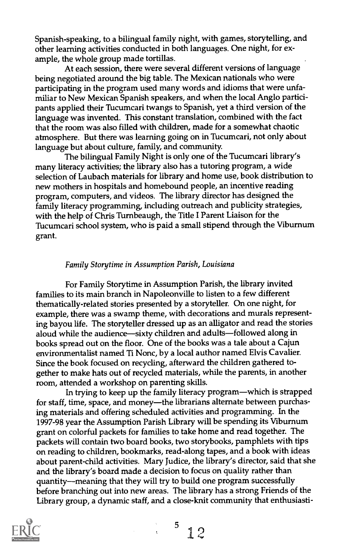Spanish-speaking, to a bilingual family night, with games, storytelling, and other learning activities conducted in both languages. One night, for example, the whole group made tortillas.

At each session, there were several different versions of language being negotiated around the big table. The Mexican nationals who were participating in the program used many words and idioms that were unfamiliar to New Mexican Spanish speakers, and when the local Anglo participants applied their Tucumcari twangs to Spanish, yet a third version of the language was invented. This constant translation, combined with the fact that the room was also filled with children, made for a somewhat chaotic atmosphere. But there was learning going on in Tucumcari, not only about language but about culture, family, and community.

The bilingual Family Night is only one of the Tucumcari library's many literacy activities; the library also has a tutoring program, a wide selection of Laubach materials for library and home use, book distribution to new mothers in hospitals and homebound people, an incentive reading program, computers, and videos. The library director has designed the family literacy programming, including outreach and publicity strategies, with the help of Chris Turnbeaugh, the Title I Parent Liaison for the Tucumcari school system, who is paid a small stipend through the Viburnum grant.

#### Family Storytime in Assumption Parish, Louisiana

For Family Storytime in Assumption Parish, the library invited families to its main branch in Napoleonville to listen to a few different thematically-related stories presented by a storyteller. On one night, for example, there was a swamp theme, with decorations and murals representing bayou life. The storyteller dressed up as an alligator and read the stories aloud while the audience-sixty children and adults-followed along in books spread out on the floor. One of the books was a tale about a Cajun environmentalist named Ti Nonc, by a local author named Elvis Cavalier. Since the book focused on recycling, afterward the children gathered together to make hats out of recycled materials, while the parents, in another room, attended a workshop on parenting skills.

In trying to keep up the family literacy program—which is strapped for staff, time, space, and money-the librarians alternate between purchasing materials and offering scheduled activities and programming. In the 1997-98 year the Assumption Parish Library will be spending its Viburnum grant on colorful packets for families to take home and read together. The packets will contain two board books, two storybooks, pamphlets with tips on reading to children, bookmarks, read-along tapes, and a book with ideas about parent-child activities. Mary Judice, the library's director, said that she and the library's board made a decision to focus on quality rather than quantity-meaning that they will try to build one program successfully before branching out into new areas. The library has a strong Friends of the Library group, a dynamic staff, and a close-knit community that enthusiasti-



 $<sup>5</sup>$  12</sup>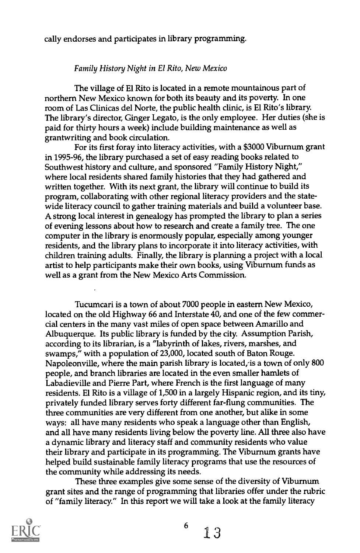cally endorses and participates in library programming.

#### Family History Night in El Rito, New Mexico

The village of El Rito is located in a remote mountainous part of northern New Mexico known for both its beauty and its poverty. In one room of Las Clinicas del Norte, the public health clinic, is El Rito's library. The library's director, Ginger Legato, is the only employee. Her duties (she is paid for thirty hours a week) include building maintenance as well as grantwriting and book circulation.

For its first foray into literacy activities, with a \$3000 Viburnum grant in 1995-96, the library purchased a set of easy reading books related to Southwest history and culture, and sponsored "Family History Night," where local residents shared family histories that they had gathered and written together. With its next grant, the library will continue to build its program, collaborating with other regional literacy providers and the statewide literacy council to gather training materials and build a volunteer base. A strong local interest in genealogy has prompted the library to plan a series of evening lessons about how to research and create a family tree. The one computer in the library is enormously popular, especially among younger residents, and the library plans to incorporate it into literacy activities, with children training adults. Finally, the library is planning a project with a local artist to help participants make their own books, using Viburnum funds as well as a grant from the New Mexico Arts Commission.

Tucumcari is a town of about 7000 people in eastern New Mexico, located on the old Highway 66 and Interstate 40, and one of the few commercial centers in the many vast miles of open space between Amarillo and Albuquerque. Its public library is funded by the city. Assumption Parish, according to its librarian, is a "labyrinth of lakes, rivers, marshes, and swamps," with a population of 23,000, located south of Baton Rouge. Napoleonville, where the main parish library is located, is a town of only 800 people, and branch libraries are located in the even smaller hamlets of Labadieville and Pierre Part, where French is the first language of many residents. El Rito is a village of 1,500 in a largely Hispanic region, and its tiny, privately funded library serves forty different far-flung communities. The three communities are very different from one another, but alike in some ways: all have many residents who speak a language other than English, and all have many residents living below the poverty line. All three also have a dynamic library and literacy staff and community residents who value their library and participate in its programming. The Viburnum grants have helped build sustainable family literacy programs that use the resources of the community while addressing its needs.

These three examples give some sense of the diversity of Viburnum grant sites and the range of programming that libraries offer under the rubric of "family literacy." In this report we will take a look at the family literacy

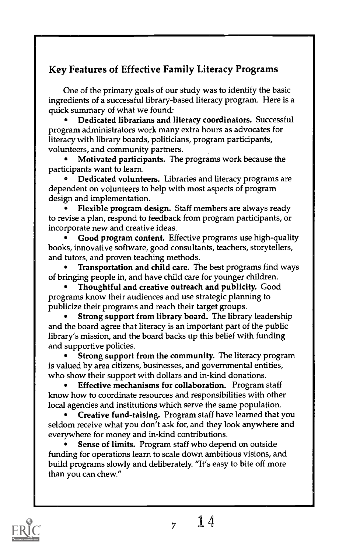# Key Features of Effective Family Literacy Programs

One of the primary goals of our study was to identify the basic ingredients of a successful library-based literacy program. Here is a quick summary of what we found:

Dedicated librarians and literacy coordinators. Successful program administrators work many extra hours as advocates for literacy with library boards, politicians, program participants, volunteers, and community partners.

Motivated participants. The programs work because the participants want to learn.

Dedicated volunteers. Libraries and literacy programs are dependent on volunteers to help with most aspects of program design and implementation.

Flexible program design. Staff members are always ready to revise a plan, respond to feedback from program participants, or incorporate new and creative ideas.

Good program content. Effective programs use high-quality books, innovative software, good consultants, teachers, storytellers, and tutors, and proven teaching methods.

Transportation and child care. The best programs find ways of bringing people in, and have child care for younger children.

Thoughtful and creative outreach and publicity. Good programs know their audiences and use strategic planning to publicize their programs and reach their target groups.

Strong support from library board. The library leadership and the board agree that literacy is an important part of the public library's mission, and the board backs up this belief with funding and supportive policies.

Strong support from the community. The literacy program is valued by area citizens, businesses, and governmental entities, who show their support with dollars and in-kind donations.

Effective mechanisms for collaboration. Program staff  $\bullet$ know how to coordinate resources and responsibilities with other local agencies and institutions which serve the same population.

Creative fund-raising. Program staff have learned that you  $\bullet$ seldom receive what you don't ask for, and they look anywhere and everywhere for money and in-kind contributions.

Sense of limits. Program staff who depend on outside funding for operations learn to scale down ambitious visions, and build programs slowly and deliberately. "It's easy to bite off more than you can chew."



 $7 \t14$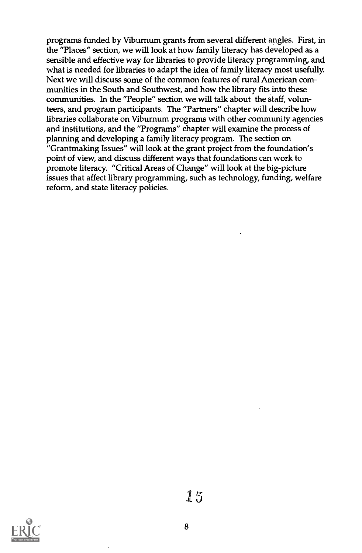programs funded by Viburnum grants from several different angles. First, in the "Places" section, we will look at how family literacy has developed as a sensible and effective way for libraries to provide literacy programming, and what is needed for libraries to adapt the idea of family literacy most usefully. Next we will discuss some of the common features of rural American communities in the South and Southwest, and how the library fits into these communities. In the "People" section we will talk about the staff, volunteers, and program participants. The "Partners" chapter will describe how libraries collaborate on Viburnum programs with other community agencies and institutions, and the "Programs" chapter will examine the process of planning and developing a family literacy program. The section on "Grantmaking Issues" will look at the grant project from the foundation's point of view, and discuss different ways that foundations can work to promote literacy. "Critical Areas of Change" will look at the big-picture issues that affect library programming, such as technology, funding, welfare reform, and state literacy policies.



 $\sqrt[3]{5}$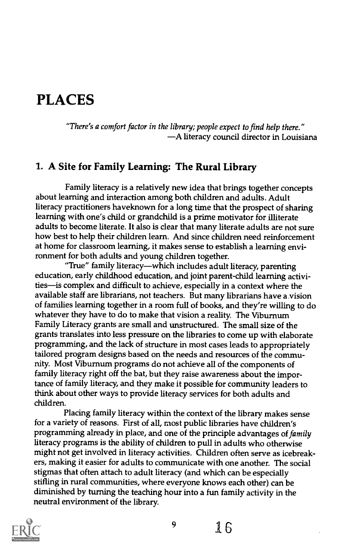# PLACES

"There's a comfort factor in the library; people expect to find help there." A literacy council director in Louisiana

#### 1. A Site for Family Learning: The Rural Library

Family literacy is a relatively new idea that brings together concepts about learning and interaction among both children and adults. Adult literacy practitioners haveknown for a long time that the prospect of sharing learning with one's child or grandchild is a prime motivator for illiterate adults to become literate. It also is clear that many literate adults are not sure how best to help their children learn. And since children need reinforcement at home for classroom learning, it makes sense to establish a learning environment for both adults and young children together.

"True" family literacy—which includes adult literacy, parenting education, early childhood education, and joint parent-child learning activities—is complex and difficult to achieve, especially in a context where the available staff are librarians, not teachers. But many librarians have a vision of families learning together in a room full of books, and they're willing to do whatever they have to do to make that vision a reality. The Viburnum Family Literacy grants are small and unstructured. The small size of the grants translates into less pressure on the libraries to come up with elaborate programming, and the lack of structure in most cases leads to appropriately tailored program designs based on the needs and resources of the community. Most Viburnum programs do not achieve all of the components of family literacy right off the bat, but they raise awareness about the importance of family literacy, and they make it possible for community leaders to think about other ways to provide literacy services for both adults and children.

Placing family literacy within the context of the library makes sense for a variety of reasons. First of all, most public libraries have children's programming already in place, and one of the principle advantages of family literacy programs is the ability of children to pull in adults who otherwise might not get involved in literacy activities. Children often serve as icebreakers, making it easier for adults to communicate with one another. The social stigmas that often attach to adult literacy (and which can be especially stifling in rural communities, where everyone knows each other) can be diminished by turning the teaching hour into a fun family activity in the neutral environment of the library.



9

 $16$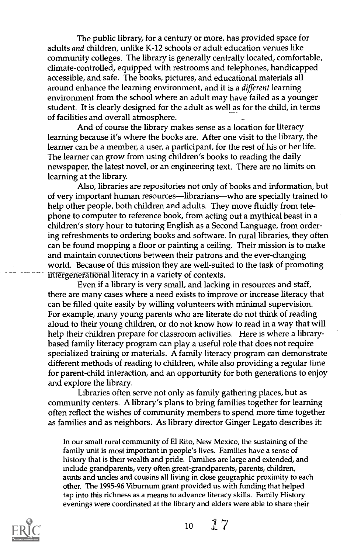The public library, for a century or more, has provided space for adults and children, unlike K-12 schools or adult education venues like community colleges. The library is generally centrally located, comfortable, climate-controlled, equipped with restrooms and telephones, handicapped accessible, and safe. The books, pictures, and educational materials all around enhance the learning environment, and it is a different learning environment from the school where an adult may have failed as a younger student. It is clearly designed for the adult as well as for the child, in terms of facilities and overall atmosphere. -

And of course the library makes sense as a location for literacy learning because it's where the books are. After one visit to the library, the learner can be a member, a user, a participant, for the rest of his or her life. The learner can grow from using children's books to reading the daily newspaper, the latest novel, or an engineering text. There are no limits on learning at the library.

Also, libraries are repositories not only of books and information, but of very important human resources—librarians—who are specially trained to help other people, both children and adults. They move fluidly from telephone to computer to reference book, from acting out a mythical beast in a children's story hour to tutoring English as a Second Language, from ordering refreshments to ordering books and software. In rural libraries, they often can be found mopping a floor or painting a ceiling. Their mission is to make and maintain connections between their patrons and the ever-changing world. Because of this mission they are well-suited to the task of promoting intergenerational literacy in a variety of contexts.

Even if a library is very small, and lacking in resources and staff, there are many cases where a need exists to improve or increase literacy that can be filled quite easily by willing volunteers with minimal supervision. For example, many young parents who are literate do not think of reading aloud to their young children, or do not know how to read in a way that will help their children prepare for classroom activities. Here is where a librarybased family literacy program can play a useful role that does not require specialized training or materials. A family literacy program can demonstrate different methods of reading to children, while also providing a regular time for parent-child interaction, and an opportunity for both generations to enjoy and explore the library

Libraries often serve not only as family gathering places, but as community centers. A library's plans to bring families together for learning often reflect the wishes of community members to spend more time together as families and as neighbors. As library director Ginger Legato describes it:

In our small rural community of El Rito, New Mexico, the sustaining of the family unit is most important in people's lives. Families have a sense of history that is their wealth and pride. Families are large and extended, and include grandparents, very often great-grandparents, parents, children, aunts and uncles and cousins all living in close geographic proximity to each other. The 1995-96 Viburnum grant provided us with funding that helped tap into this richness as a means to advance literacy skills. Family History evenings were coordinated at the library and elders were able to share their



10  $17$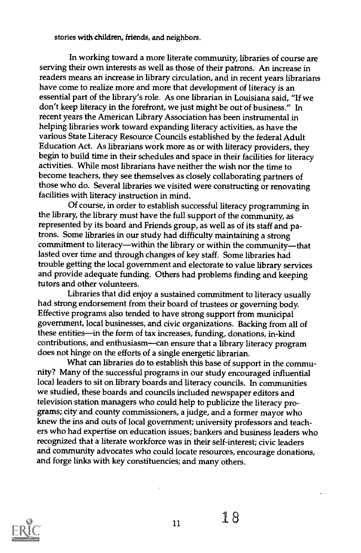stories with children, friends, and neighbors.

In working toward a more literate community, libraries of course are serving their own interests as well as those of their patrons. An increase in readers means an increase in library circulation, and in recent years librarians have come to realize more and more that development of literacy is an essential part of the library's role. As one librarian in Louisiana said, "If we don't keep literacy in the forefront, we just might be out of business." In recent years the American Library Association has been instrumental in helping libraries work toward expanding literacy activities, as have the various State Literacy Resource Councils established by the federal Adult Education Act. As librarians work more as or with literacy providers, they begin to build time in their schedules and space in their facilities for literacy activities. While most librarians have neither the wish nor the time to become teachers, they see themselves as closely collaborating partners of those who do. Several libraries we visited were constructing or renovating facilities with literacy instruction in mind.

Of course, in order to establish successful literacy programming in the library, the library must have the full support of the community, as represented by its board and Friends group, as well as of its staff and patrons. Some libraries in our study had difficulty maintaining a strong commitment to literacy—within the library or within the community—that lasted over time and through changes of key staff. Some libraries had trouble getting the local government and electorate to value library services and provide adequate funding. Others had problems finding and keeping tutors and other volunteers.

Libraries that did enjoy a sustained commitment to literacy usually had strong endorsement from their board of trustees or governing body. Effective programs also tended to have strong support from municipal government, local businesses, and civic organizations. Backing from all of these entities—in the form of tax increases, funding, donations, in-kind contributions, and enthusiasm—can ensure that a library literacy program does not hinge on the efforts of a single energetic librarian.

What can libraries do to establish this base of support in the community? Many of the successful programs in our study encouraged influential local leaders to sit on library boards and literacy councils. In communities we studied, these boards and councils included newspaper editors and television station managers who could help to publicize the literacy programs; city and county commissioners, a judge, and a former mayor who knew the ins and outs of local government; university professors and teachers who had expertise on education issues; bankers and business leaders who recognized that a literate workforce was in their self-interest; civic leaders and community advocates who could locate resources, encourage donations, and forge links with key constituencies; and many others.



 $1^{11}$  18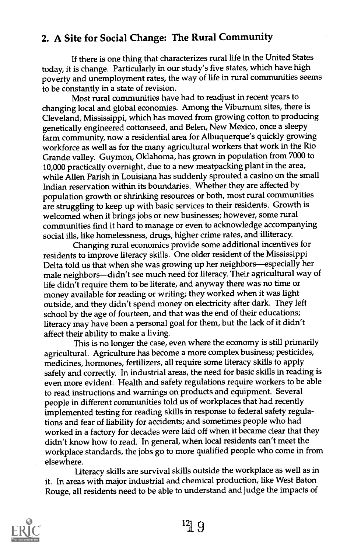## 2. A Site for Social Change: The Rural Community

If there is one thing that characterizes rural life in the United States today, it is change. Particularly in our study's five states, which have high poverty and unemployment rates, the way of life in rural communities seems to be constantly in a state of revision.

Most rural communities have had to readjust in recent years to changing local and global economies. Among the Viburnum sites, there is Cleveland, Mississippi, which has moved from growing cotton to producing genetically engineered cottonseed, and Belen, New Mexico, once a sleepy farm community, now a residential area for Albuquerque's quickly growing workforce as well as for the many agricultural workers that work in the Rio Grande valley. Guymon, Oklahoma, has grown in population from 7000 to 10,000 practically overnight, due to a new meatpacking plant in the area, while Allen Parish in Louisiana has suddenly sprouted a casino on the small Indian reservation within its boundaries. Whether they are affected by population growth or shrinking resources or both, most rural communities are struggling to keep up with basic services to their residents. Growth is welcomed when it brings jobs or new businesses; however, some rural communities find it hard to manage or even to acknowledge accompanying social ills, like homelessness, drugs, higher crime rates, and illiteracy.

Changing rural economics provide some additional incentives for residents to improve literacy skills. One older resident of the Mississippi Delta told us that when she was growing up her neighbors-especially her male neighbors-didn't see much need for literacy. Their agricultural way of life didn't require them to be literate, and anyway there was no time or money available for reading or writing; they worked when it was light outside, and they didn't spend money on electricity after dark. They left school by the age of fourteen, and that was the end of their educations; literacy may have been a personal goal for them, but the lack of it didn't affect their ability to make a living.

This is no longer the case, even where the economy is still primarily agricultural. Agriculture has become a more complex business; pesticides, medicines, hormones, fertilizers, all require some literacy skills to apply safely and correctly. In industrial areas, the need for basic skills in reading is even more evident. Health and safety regulations require workers to be able to read instructions and warnings on products and equipment. Several people in different communities told us of workplaces that had recently implemented testing for reading skills in response to federal safety regulations and fear of liability for accidents; and sometimes people who had worked in a factory for decades were laid off when it became clear that they didn't know how to read. In general, when local residents can't meet the workplace standards, the jobs go to more qualified people who come in from elsewhere.

Literacy skills are survival skills outside the workplace as well as in it. In areas with major industrial and chemical production, like West Baton Rouge, all residents need to be able to understand and judge the impacts of

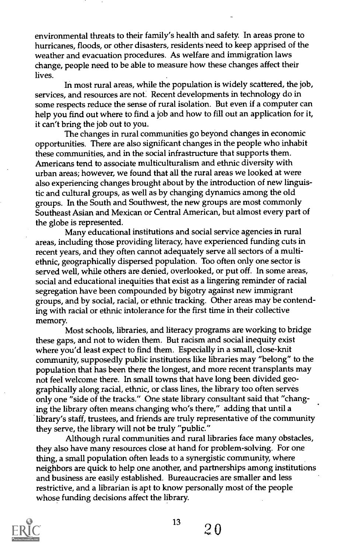environmental threats to their family's health and safety. In areas prone to hurricanes, floods, or other disasters, residents need to keep apprised of the weather and evacuation procedures. As welfare and immigration laws change, people need to be able to measure how these changes affect their lives.

In most rural areas, while the population is widely scattered, the job, services, and resources are not. Recent developments in technology do in some respects reduce the sense of rural isolation. But even if a computer can help you find out where to find a job and how to fill out an application for it, it can't bring the job out to you.

The changes in rural communities go beyond changes in economic opportunities. There are also significant changes in the people who inhabit these communities, and in the social infrastructure that supports them. Americans tend to associate multiculturalism and ethnic diversity with urban areas; however, we found that all the rural areas we looked at were also experiencing changes brought about by the introduction of new linguistic and cultural groups, as well as by changing dynamics among the old groups. In the South and Southwest, the new groups are most commonly Southeast Asian and Mexican or Central American, but almost every part of the globe is represented.

Many educational institutions and social service agencies in rural areas, including those providing literacy, have experienced funding cuts in recent years, and they often cannot adequately serve all sectors of a multiethnic, geographically dispersed population. Too often only one sector is served well, while others are denied, overlooked, or put off. In some areas, social and educational inequities that exist as a lingering reminder of racial segregation have been compounded by bigotry against new immigrant groups, and by social, racial, or ethnic tracking. Other areas may be contending with racial or ethnic intolerance for the first time in their collective memory.

Most schools, libraries, and literacy programs are working to bridge these gaps, and not to widen them. But racism and social inequity exist where you'd least expect to find them. Especially in a small, close-knit community, supposedly public institutions like libraries may "belong" to the population that has been there the longest, and more recent transplants may not feel welcome there. In small towns that have long been divided geographically along racial, ethnic, or class lines, the library too often serves only one "side of the tracks." One state library consultant said that "changing the library often means changing who's there," adding that until a library's staff, trustees, and friends are truly representative of the community they serve, the library will not be truly "public."

Although rural communities and rural libraries face many obstacles, they also have many resources close at hand for problem-solving. For one thing, a small population often leads to a synergistic community, where neighbors are quick to help one another, and partnerships among institutions and business are easily established. Bureaucracies are smaller and less restrictive, and a librarian is apt to know personally most of the people whose funding decisions affect the library.



 $^{13}$  20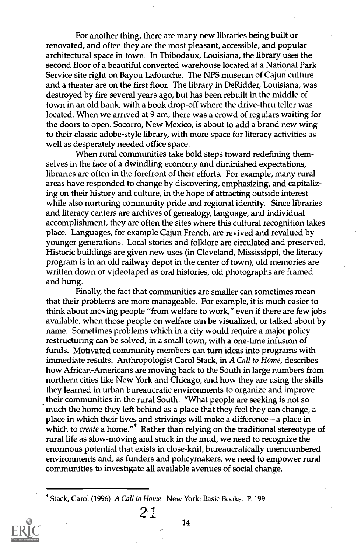For another thing, there are many new libraries being built or renovated, and often they are the most pleasant, accessible, and popular architectural space in town. In Thibodaux, Louisiana, the library uses the second floor of a beautiful converted warehouse located at a National Park Service site right on Bayou Lafourche. The NPS museum of Cajun culture and a theater are on the first floor. The library in DeRidder, Louisiana, was destroyed by fire several years ago, but has been rebuilt in the middle of town in an old bank, with a book drop-off where the drive-thru teller was located. When we arrived at 9 am, there was a crowd of regulars waiting for the doors to open. Socorro, New Mexico, is about to add a brand new wing to their classic adobe-style library, with more space for literacy activities as well as desperately needed office space.

When rural communities take bold steps toward redefining themselves in the face of a dwindling economy and diminished expectations, libraries are often in the forefront of their efforts. For example, many rural areas have responded to change by discovering, emphasizing, and capitalizing on their history and culture, in the hope of attracting outside interest while also nurturing community pride and regional identity. Since libraries and literacy centers are archives of genealogy, language, and individual accomplishment, they are often the sites where this cultural recognition takes place. Languages, for example Cajun French, are revived and revalued by younger generations. Local stories and folklore are circulated and preserved. Historic buildings are given new uses (in Cleveland, Mississippi, the literacy program is in an old railway depot in the center of town), old memories are written down or videotaped as oral histories, old photographs are framed and hung.

Finally, the fact that communities are smaller can sometimes mean that their problems are more manageable. For example, it is much easier to' think about moving people "from welfare to work," even if there are few jobs available, when those people on welfare can be visualized, or talked about by name. Sometimes problems which in a city would require a major policy restructuring can be solved, in a small town, with a one-time infusion of funds. Motivated community members can turn ideas into programs with immediate results. Anthropologist Carol Stack, in A Call to Home, describes how African-Americans are moving back to the South in large numbers from northern cities like New York and Chicago, and how they are using the skills they learned in urban bureaucratic environments to organize and improve their communities in the rural South. "What people are seeking is not so much the home they left behind as a place that they feel they can change, a place in which their lives and strivings will make a difference—a place in which to create a home."<sup>\*</sup> Rather than relying on the traditional stereotype of rural life as slow-moving and stuck in the mud, we need to recognize the enormous potential that exists in close-knit, bureaucratically unencumbered environments and, as funders and policymakers, we need to empower rural communities to investigate all available avenues of social change.

\* Stack, Carol (1996) A Call to Home New York: Basic Books. P. 199



21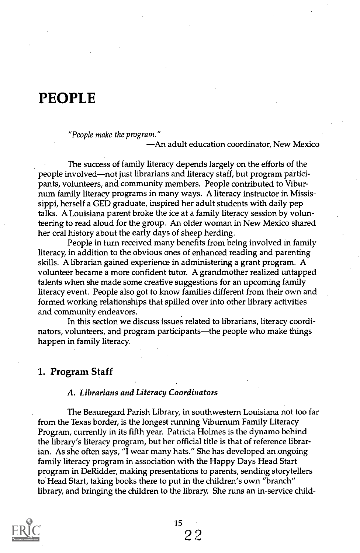# PEOPLE

"People make the program."

An adult education coordinator, New Mexico

The success of family literacy depends largely on the efforts of the people involved—not just librarians and literacy staff, but program participants, volunteers, and community members. People contributed to Viburnum family literacy programs in many ways. A literacy instructor in Mississippi, herself a GED graduate, inspired her adult students with daily pep talks. A Louisiana parent broke the ice at a family literacy session by volunteering to read aloud for the group. An older woman in New Mexico shared her oral history about the early days of sheep herding.

People in turn received many benefits from being involved in family literacy, in addition to the obvious ones of enhanced reading and parenting skills. A librarian gained experience in administering a grant program. A volunteer became a more confident tutor. A grandmother realized untapped talents when she made some creative suggestions for an upcoming family literacy event. People also got to know families different from their own and formed working relationships that spilled over into other library activities and community endeavors.

In this section we discuss issues related to librarians, literacy coordinators, volunteers, and program participants—the people who make things happen in family literacy.

#### 1. Program Staff

#### A. Librarians and Literacy Coordinators

The Beauregard Parish Library, in southwestern Louisiana not too far from the Texas border, is the longest running Viburnum Family Literacy Program, currently in its fifth year. Patricia Holmes is the dynamo behind the library's literacy program, but her official title is that of reference librarian. As she often says, "I wear many hats." She has developed an ongoing family literacy program in association with the Happy Days Head Start program in DeRidder, making presentations to parents, sending storytellers to Head Start, taking books there to put in the children's own "branch" library, and bringing the children to the library. She runs an in-service child-

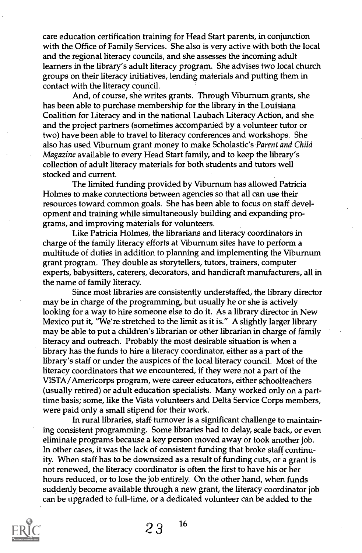care education certification training for Head Start parents, in conjunction with the Office of Family Services. She also is very active with both the local and the regional literacy councils, and she assesses the incoming adult learners in the library's adult literacy program. She advises two local church groups on their literacy initiatives, lending materials and putting them in contact with the literacy council.

And, of course, she writes grants. Through Viburnum grants, she has been able to purchase membership for the library in the Louisiana Coalition for Literacy and in the national Laubach Literacy Action, and she and the project partners (sometimes accompanied by a volunteer tutor or two) have been able to travel to literacy conferences and workshops. She also has used Viburnum grant money to make Scholastic's Parent and Child Magazine available to every Head Start family, and to keep the library's collection of adult literacy materials for both students and tutors well stocked and current.

The limited funding provided by Viburnum has allowed Patricia Holmes to make connections between agencies so that all can use their resources toward common goals. She has been able to focus on staff development and training while simultaneously building and expanding programs, and improving materials for volunteers.

Like Patricia Holmes, the librarians and literacy coordinators in charge of the family literacy efforts at Viburnum sites have to perform a multitude of duties in addition to planning and implementing the Viburnum grant program. They double as storytellers, tutors, trainers, computer experts, babysitters, caterers, decorators, and handicraft manufacturers, all in the name of family literacy.

Since most libraries are consistently understaffed, the library director may be in charge of the programming, but usually he or she is actively looking for a way to hire someone else to do it. As a library director in New Mexico put it, "We're stretched to the limit as it is." A slightly larger library may be able to put a children's librarian or other librarian in charge of family literacy and outreach. Probably the most desirable situation is when a library has the funds to hire a literacy coordinator, either as a part of the library's staff or under the auspices of the local literacy council. Most of the literacy coordinators that we encountered, if they were not a part of the VISTA/Americorps program, were career educators, either schoolteachers (usually retired) or adult education specialists. Many worked only on a parttime basis; some, like the Vista volunteers and Delta Service Corps members, were paid only a small stipend for their work.

In rural libraries, staff turnover is a significant challenge to maintaining consistent programming. Some libraries had to delay, scale back, or even eliminate programs because a key person moved away or took another job. In other cases, it was the lack of consistent funding that broke staff continuity. When staff has to be downsized as a result of funding cuts, or a grant is not renewed, the literacy coordinator is often the first to have his or her hours reduced, or to lose the job entirely. On the other hand, when funds suddenly become available through a new grant, the literacy coordinator job can be upgraded to full-time, or a dedicated volunteer can be added to the

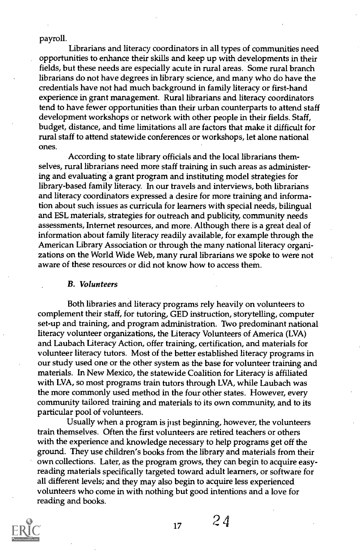#### payroll.

Librarians and literacy coordinators in all types of communities need opportunities to enhance their skills and keep up with developments in their fields, but these needs are especially acute in rural areas. Some rural branch librarians do not have degrees in library science, and many who do have the credentials have not had much background in family literacy or first-hand experience in grant management. Rural librarians and literacy coordinators tend to have fewer opportunities than their urban counterparts to attend staff development workshops or network with other people in their fields. Staff, budget, distance, and time limitations all are factors that make it difficult for rural staff to attend statewide conferences or workshops, let alone national ones.

According to state library officials and the local librarians themselves, rural librarians need more staff training in such areas as administering and evaluating a grant program and instituting model strategies for library-based family literacy. In our travels and interviews, both librarians and literacy coordinators expressed a desire for more training and information about such issues as curricula for learners with special needs, bilingual and ESL materials, strategies for outreach and publicity, community needs assessments, Internet resources, and more. Although there is a great deal of information about family literacy readily available, for example through the American Library Association or through the many national literacy organizations on the World Wide Web, many rural librarians we spoke to were not aware of these resources or did not know how to access them.

#### B. Volunteers

Both libraries and literacy programs rely heavily on volunteers to complement their staff, for tutoring, GED instruction, storytelling, computer set-up and training, and program administration. Two predominant national literacy volunteer organizations, the Literacy Volunteers of America (LVA) and Laubach Literacy Action, offer training, certification, and materials for volunteer literacy tutors. Most of the better established literacy programs in our study used one or the other system as the base for volunteer training and materials. In New Mexico, the statewide Coalition for Literacy is affiliated with LVA, so most programs train tutors through LVA, while Laubach was the more commonly used method in the four other states. However, every community tailored training and materials to its own community, and to its particular pool of volunteers.

Usually when a program is just beginning, however, the volunteers train themselves. Often the first volunteers are retired teachers or others with the experience and knowledge necessary to help programs get off the ground. They use children's books from the library and materials from their own collections. Later, as the program grows, they can begin to acquire easyreading materials specifically targeted toward adult learners, or software for all different levels; and they may also begin to acquire less experienced volunteers who come in with nothing but good intentions and a love for reading and books.

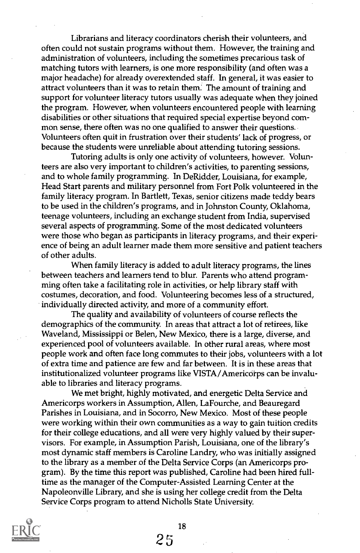Librarians and literacy coordinators cherish their volunteers, and often could not sustain programs without them. However, the training and administration of volunteers, including the sometimes precarious task of matching tutors with learners, is one more responsibility (and often was a major headache) for already overextended staff. In general, it was easier to attract volunteers than it was to retain them. The amount of training and support for volunteer literacy tutors usually was adequate when they joined the program. However, when volunteers encountered people with learning disabilities or other situations that required special expertise beyond common sense, there often was no one qualified to answer their questions. Volunteers often quit in frustration over their students' lack of progress, or because the students were unreliable about attending tutoring sessions.

Tutoring adults is only one activity of volunteers, however. Volunteers are also very important to children's activities, to parenting sessions, and to whole family programming. In DeRidder, Louisiana, for example, Head Start parents and military personnel from Fort Polk volunteered in the family literacy program. In Bartlett, Texas, senior citizens made teddy bears to be used in the children's programs, and in Johnston County, Oklahoma, teenage volunteers, including an exchange student from India, supervised several aspects of programming. Some of the most dedicated volunteers were those who began as participants in literacy programs, and their experience of being an adult learner made them more sensitive and patient teachers of other adults.

When family literacy is added to adult literacy programs, the lines between teachers and learners tend to blur. Parents who attend programming often take a facilitating role in activities, or help library staff with costumes, decoration, and food. Volunteering becomes less of a structured, individually directed activity, and more of a community effort.

The quality and availability of volunteers of course reflects the demographics of the community. In areas that attract a lot of retirees, like Waveland, Mississippi or Belen, New Mexico, there is a large, diverse, and experienced pool of volunteers available. In other rural areas, where most people work and often face long commutes to their jobs, volunteers with a lot of extra time and patience are few and far between. It is in these areas that institutionalized volunteer programs like VISTA/Americorps can be invaluable to libraries and literacy programs.

We met bright, highly motivated, and energetic Delta Service and Americorps workers in Assumption, Allen, La Fourche, and Beauregard Parishes in Louisiana, and in Socorro, New Mexico. Most of these people were working within their own communities as a way to gain tuition credits for their college educations, and all were very highly valued by their supervisors. For example, in Assumption Parish, Louisiana, one of the library's most dynamic staff members is Caroline Landry, who was initially assigned to the library as a member of the Delta Service Corps (an Americorps program). By the time this report was published, Caroline had been hired fulltime as the manager of the Computer-Assisted Learning Center at the Napoleonville Library, and she is using her college credit from the Delta Service Corps program to attend Nicholls State University.

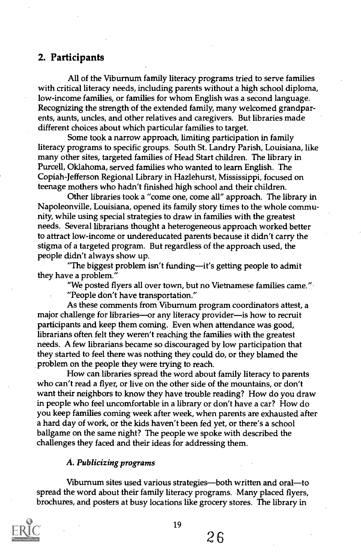#### 2. Participants

All of the Viburnum family literacy programs tried to serve families with critical literacy needs, including parents without a high school diploma, low-income families, or families for whom English was a second language. Recognizing the strength of the extended family, many welcomed grandparents, aunts, uncles, and other relatives and caregivers. But libraries made different choices about which particular families to target.

Some took a narrow approach, limiting participation in family literacy programs to specific groups. South St. Landry Parish, Louisiana, like many other sites, targeted families of Head Start children. The library in Purcell, Oklahoma, served families who wanted to learn English. The Copiah-Jefferson Regional Library in Hazlehurst, Mississippi, focused on teenage mothers who hadn't finished high school and their children.

Other libraries took a "come one, come all" approach. The library in Napoleonville, Louisiana, opened its family story times to the whole community, while using special strategies to draw in families with the greatest needs. Several librarians thought a heterogeneous approach worked better to attract low-income or undereducated parents because it didn't carry the stigma of a targeted program. But regardless of the approach used, the people didn't always show up.

"The biggest problem isn't funding—it's getting people to admit they have a problem."

"We posted flyers all over town, but no Vietnamese families came." "People don't have transportation."

As these comments from Viburnum program coordinators attest, a major challenge for libraries—or any literacy provider—is how to recruit participants and keep them coming. Even when attendance was good, librarians often felt they weren't reaching the families with the greatest needs. A few librarians became so discouraged by low participation that they started to feel there was nothing they could do, or they blamed the problem on the people they were trying to reach.

How can libraries spread the word about family literacy to parents who can't read a flyer, or live on the other side of the mountains, or don't want their neighbors to know they have trouble reading? How do you draw in people who feel uncomfortable in a library or don't have a car? How do you keep families coming week after week, when parents are exhausted after a hard day of work, or the kids haven't been fed yet, or there's a school ballgame on the same night? The people we spoke with described the challenges they faced and their ideas for addressing them.

#### A. Publicizing programs

Viburnum sites used various strategies-both written and oral-to spread the word about their family literacy programs. Many placed flyers, brochures, and posters at busy locations like grocery stores. The library in



26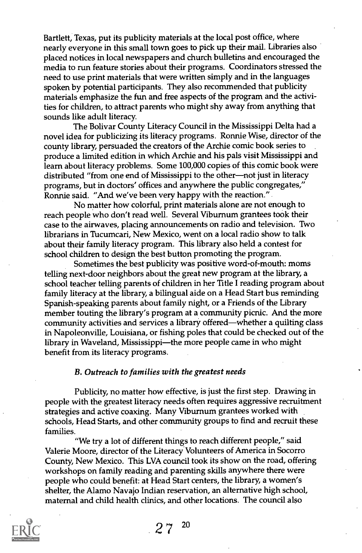Bartlett, Texas, put its publicity materials at the local post office, where nearly everyone in this small town goes to pick up their mail. Libraries also placed notices in local newspapers and church bulletins and encouraged the media to run feature stories about their programs. Coordinators stressed the need to use print materials that were written simply and in the languages spoken by potential participants. They also recommended that publicity materials emphasize the fun and free aspects of the program and the activities for children, to attract parents who might shy away from anything that sounds like adult literacy.

The Bolivar County Literacy Council in the Mississippi Delta had a novel idea for publicizing its literacy programs. Ronnie Wise, director of the county library, persuaded the creators of the Archie comic book series to produce a limited edition in which Archie and his pals visit Mississippi and learn about literacy problems. Some 100,000 copies of this comic book were distributed "from one end of Mississippi to the other-not just in literacy programs, but in doctors' offices and anywhere the public congregates," Ronnie said. "And we've been very happy with the reaction."

No matter how colorful, print materials alone are not enough to reach people who don't read well. Several Viburnum grantees took their case to the airwaves, placing announcements on radio and television. Two librarians in Tucumcari, New Mexico, went on a local radio show to talk about their family literacy program. This library also held a contest for school children to design the best button promoting the program.

Sometimes the best publicity was positive word-of-mouth: moms telling next-door neighbors about the great new program at the library, a school teacher telling parents of children in her Title I reading program about family literacy at the library, a bilingual aide on a Head Start bus reminding Spanish-speaking parents about family night, or a Friends of the Library member touting the library's program at a community picnic. And the more community activities and services a library offered—whether a quilting class in Napoleonville, Louisiana, or fishing poles that could be checked out of the library in Waveland, Mississippi-the more people came in who might benefit from its literacy programs.

#### B. Outreach to families with the greatest needs

Publicity, no matter how effective, is just the first step. Drawing in people with the greatest literacy needs often requires aggressive recruitment strategies and active coaxing. Many Viburnum grantees worked with schools, Head Starts, and other community groups to find and recruit these families.

"We try a lot of different things to reach different people," said Valerie Moore, director of the Literacy Volunteers of America in Socorro County, New Mexico. This LVA council took its show on the road, offering workshops on family reading and parenting skills anywhere there were people who could benefit: at Head Start centers, the library, a women's shelter, the Alamo Navajo Indian reservation, an alternative high school, maternal and child health clinics, and other locations. The council also



 $27^{20}$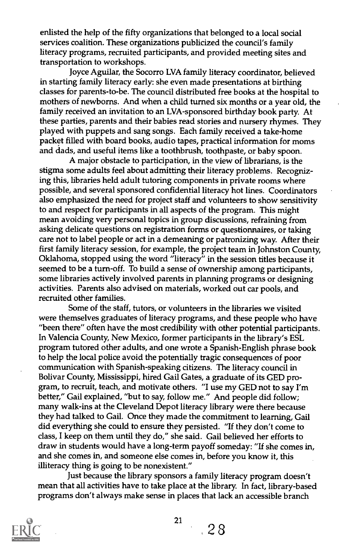enlisted the help of the fifty organizations that belonged to a local social services coalition. These organizations publicized the council's family literacy programs, recruited participants, and provided meeting sites and transportation to workshops.

Joyce Aguilar, the Socorro LVA family literacy coordinator, believed in starting family literacy early: she even made presentations at birthing classes for parents-to-be. The council distributed free books at the hospital to mothers of newborns. And when a child turned six months or a year old, the family received an invitation to an LVA-sponsored birthday book party. At these parties, parents and their babies read stories and nursery rhymes. They played with puppets and sang songs. Each family received a take-home packet filled with board books, audio tapes, practical information for moms and dads, and useful items like a toothbrush, toothpaste, or baby spoon.

A major obstacle to participation, in the view of librarians, is the stigma some adults feel about admitting their literacy problems. Recognizing this, libraries held adult tutoring components in private rooms where possible, and several sponsored confidential literacy hot lines. Coordinators also emphasized the need for project staff and volunteers to show sensitivity to and respect for participants in all aspects of the program. This might mean avoiding very personal topics in group discussions, refraining from asking delicate questions on registration forms or questionnaires, or taking care not to label people or act in a demeaning or patronizing way. After their first family literacy session, for example, the project team in Johnston County, Oklahoma, stopped using the word "literacy" in the session titles because it seemed to be a turn-off. To build a sense of ownership among participants, some libraries actively involved parents in planning programs or designing activities. Parents also advised on materials, worked out car pools, and recruited other families.

Some of the staff, tutors, or volunteers in the libraries we visited were themselves graduates of literacy programs, and these people who have "been there" often have the most credibility with other potential participants. In Valencia County, New Mexico, former participants in the library's ESL program tutored other adults, and one wrote a Spanish-English phrase book to help the local police avoid the potentially tragic consequences of poor communication with Spanish-speaking citizens. The literacy council in Bolivar County, Mississippi, hired Gail Gates, a graduate of its GED program, to recruit, teach, and motivate others. "I use my GED not to say I'm better," Gail explained, "but to say, follow me." And people did follow; many walk-ins at the Cleveland Depot literacy library were there because they had talked to Gail. Once they made the commitment to learning, Gail did everything she could to ensure they persisted. "If they don't come to class, I keep on them until they do," she said. Gail believed her efforts to draw in students would have a long-term payoff someday: "If she comes in, and she comes in, and someone else comes in, before you know it, this illiteracy thing is going to be nonexistent."

Just because the library sponsors a family literacy program doesn't mean that all activities have to take place at the library. In fact, library-based programs don't always make sense in places that lack an accessible branch



21

 $28$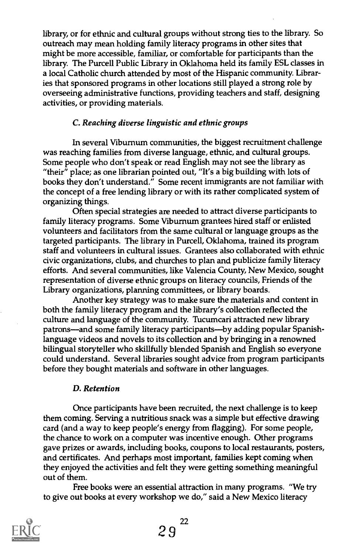library, or for ethnic and cultural groups without strong ties to the library. So outreach may mean holding family literacy programs in other sites that might be more accessible, familiar, or comfortable for participants than the library. The Purcell Public Library in Oklahoma held its family ESL classes in a local Catholic church attended by most of the Hispanic community. Libraries that sponsored programs in other locations still played a strong role by overseeing administrative functions, providing teachers and staff, designing activities, or providing materials.

#### C. Reaching diverse linguistic and ethnic groups

In several Viburnum communities, the biggest recruitment challenge was reaching families from diverse language, ethnic, and cultural groups. Some people who don't speak or read English may not see the library as "their" place; as one librarian pointed out, "It's a big building with lots of books they don't understand." Some recent immigrants are not familiar with the concept of a free lending library or with its rather complicated system of organizing things.

Often special strategies are needed to attract diverse participants to family literacy programs. Some Viburnum grantees hired staff or enlisted volunteers and facilitators from the same cultural or language groups as the targeted participants. The library in Purcell, Oklahoma, trained its program staff and volunteers in cultural issues. Grantees also collaborated with ethnic civic organizations, clubs, and churches to plan and publicize family literacy efforts. And several communities, like Valencia County New Mexico, sought representation of diverse ethnic groups on literacy councils, Friends of the Library organizations, planning committees, or library boards.

Another key strategy was to make sure the materials and content in both the family literacy program and the library's collection reflected the culture and language of the community. Tucumcari attracted new library patrons—and some family literacy participants—by adding popular Spanishlanguage videos and novels to its collection and by bringing in a renowned bilingual storyteller who skillfully blended Spanish and English so everyone could understand. Several libraries sought advice from program participants before they bought materials and software in other languages.

#### D. Retention

Once participants have been recruited, the next challenge is to keep them coming. Serving a nutritious snack was a simple but effective drawing card (and a way to keep people's energy from flagging). For some people, the chance to work on a computer was incentive enough. Other programs gave prizes or awards, including books, coupons to local restaurants, posters, and certificates. And perhaps most important, families kept coming when they enjoyed the activities and felt they were getting something meaningful out of them.

Free books were an essential attraction in many programs. "We try to give out books at every workshop we do," said a New Mexico literacy

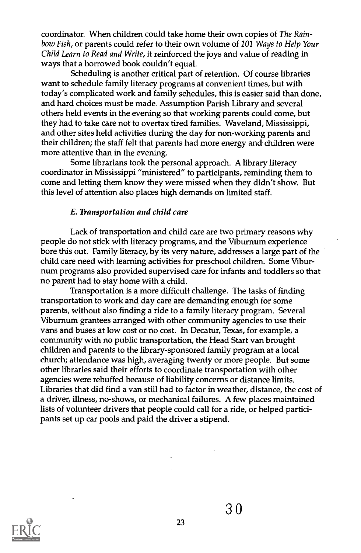coordinator. When children could take home their own copies of The Rainbow Fish, or parents could refer to their own volume of 101 Ways to Help Your Child Learn to Read and Write, it reinforced the joys and value of reading in ways that a borrowed book couldn't equal.

Scheduling is another critical part of retention. Of course libraries want to schedule family literacy programs at convenient times, but with today's complicated work and family schedules, this is easier said than done, and hard choices must be made. Assumption Parish Library and several others held events in the evening so that working parents could come, but they had to take care not to overtax tired families. Waveland, Mississippi, and other sites held activities during the day for non-working parents and their children; the staff felt that parents had more energy and children were more attentive than in the evening.

Some librarians took the personal approach. A library literacy coordinator in Mississippi "ministered" to participants, reminding them to come and letting them know they were missed when they didn't show. But this level of attention also places high demands on limited staff.

#### E. Transportation and child care

Lack of transportation and child care are two primary reasons why people do not stick with literacy programs, and the Viburnum experience bore this out. Family literacy, by its very nature, addresses a large part of the child care need with learning activities for preschool children. Some Viburnum programs also provided supervised care for infants and toddlers so that no parent had to stay home with a child.

Transportation is a more difficult challenge. The tasks of finding transportation to work and day care are demanding enough for some parents, without also finding a ride to a family literacy program. Several Viburnum grantees arranged with other community agencies to use their vans and buses at low cost or no cost. In Decatur, Texas, for example, a community with no public transportation, the Head Start van brought children and parents to the library-sponsored family program at a local church; attendance was high, averaging twenty or more people. But some other libraries said their efforts to coordinate transportation with other agencies were rebuffed because of liability concerns or distance limits. Libraries that did find a van still had to factor in weather, distance, the cost of a driver, illness, no-shows, or mechanical failures. A few places maintained lists of volunteer drivers that people could call for a ride, or helped participants set up car pools and paid the driver a stipend.

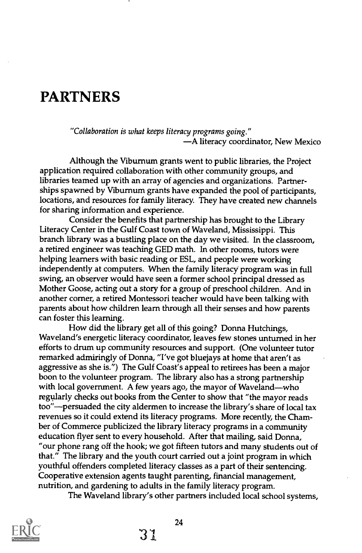# **PARTNERS**

"Collaboration is what keeps literacy programs going." A literacy coordinator, New Mexico

Although the Viburnum grants went to public libraries, the Project application required collaboration with other community groups, and libraries teamed up with an array of agencies and organizations. Partnerships spawned by Viburnum grants have expanded the pool of participants, locations, and resources for family literacy. They have created new channels for sharing information and experience.

Consider the benefits that partnership has brought to the Library Literacy Center in the Gulf Coast town of Waveland, Mississippi. This branch library was a bustling place on the day we visited. In the classroom, a retired engineer was teaching GED math. In other rooms, tutors were helping learners with basic reading or ESL, and people were working independently at computers. When the family literacy program was in full swing, an observer would have seen a former school principal dressed as Mother Goose, acting out a story for a group of preschool children. And in another corner, a retired Montessori teacher would have been talking with parents about how children learn through all their senses and how parents can foster this learning.

How did the library get all of this going? Donna Hutchings, Waveland's energetic literacy coordinator, leaves few stones unturned in her efforts to drum up community resources and support. (One volunteer tutor remarked admiringly of Donna, "I've got bluejays at home that aren't as aggressive as she is.") The Gulf Coast's appeal to retirees has been a major boon to the volunteer program. The library also has a strong partnership with local government. A few years ago, the mayor of Waveland—who regularly checks out books from the Center to show that "the mayor reads too"---persuaded the city aldermen to increase the library's share of local tax revenues so it could extend its literacy programs. More recently, the Chamber of Commerce publicized the library literacy programs in a community education flyer sent to every household. After that mailing, said Donna, "our phone rang off the hook; we got fifteen tutors and many students out of that." The library and the youth court carried out a joint program in which youthful offenders completed literacy classes as a part of their sentencing. Cooperative extension agents taught parenting, financial management, nutrition, and gardening to adults in the family literacy program.

The Waveland library's other partners included local school systems,



\*31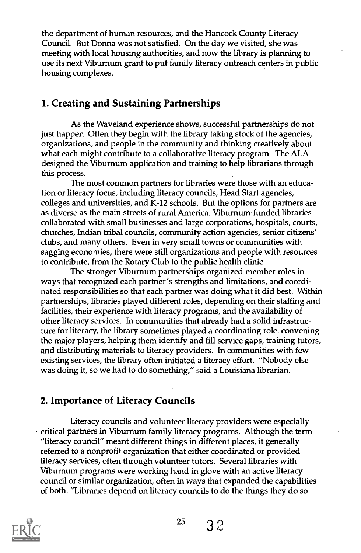the department of human resources, and the Hancock County Literacy Council. But Donna was not satisfied. On the day we visited, she was meeting with local housing authorities, and now the library is planning to use its next Viburnum grant to put family literacy outreach centers in public housing complexes.

#### 1. Creating and Sustaining Partnerships

As the Waveland experience shows, successful partnerships do not just happen. Often they begin with the library taking stock of the agencies, organizations, and people in the community and thinking creatively about what each might contribute to a collaborative literacy program. The ALA designed the Viburnum application and training to help librarians through this process.

The most common partners for libraries were those with an education or literacy focus, including literacy councils, Head Start agencies, colleges and universities, and K-12 schools. But the options for partners are as diverse as the main streets of rural America. Viburnum-funded libraries collaborated with small businesses and large corporations, hospitals, courts, churches, Indian tribal councils, community action agencies, senior citizens' clubs, and many others. Even in very small towns or communities with sagging economies, there were still organizations and people with resources to contribute, from the Rotary Club to the public health clinic.

The stronger Viburnum partnerships organized member roles in ways that recognized each partner's strengths and limitations, and coordinated responsibilities so that each partner was doing what it did best. Within partnerships, libraries played different roles, depending on their staffing and facilities, their experience with literacy programs, and the availability of other literacy services. In communities that already had a solid infrastructure for literacy, the library sometimes played a coordinating role: convening the major players, helping them identify and fill service gaps, training tutors, and distributing materials to literacy providers. In communities with few existing services, the library often initiated a literacy effort. "Nobody else was doing it, so we had to do something," said a Louisiana librarian.

## 2. Importance of Literacy Councils

Literacy councils and volunteer literacy providers were especially critical partners in Viburnum family literacy programs. Although the term "literacy council" meant different things in different places, it generally referred to a nonprofit organization that either coordinated or provided literacy services, often through volunteer tutors. Several libraries with Viburnum programs were working hand in glove with an active literacy council or similar organization, often in ways that expanded the capabilities of both. "Libraries depend on literacy councils to do the things they do so



 $25 \quad 32$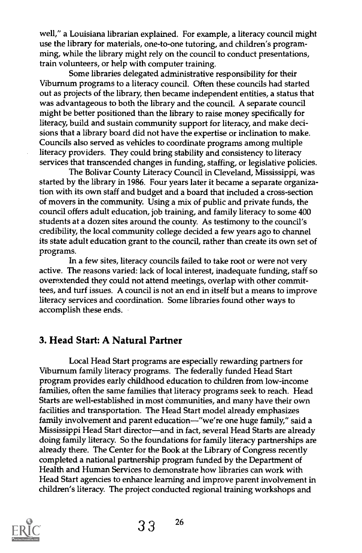well," a Louisiana librarian explained. For example, a literacy council might use the library for materials, one-to-one tutoring, and children's programming, while the library might rely on the council to conduct presentations, train volunteers, or help with computer training.

Some libraries delegated administrative responsibility for their Viburnum programs to a literacy council. Often these councils had started out as projects of the library, then became independent entities, a status that was advantageous to both the library and the council. A separate council might be better positioned than the library to raise money specifically for literacy, build and sustain community support for literacy, and make decisions that a library board did not have the expertise or inclination to make. Councils also served as vehicles to coordinate programs among multiple literacy providers. They could bring stability and consistency to literacy services that transcended changes in funding, staffing, or legislative policies.

The Bolivar County Literacy Council in Cleveland, Mississippi, was started by the library in 1986. Four years later it became a separate organization with its own staff and budget and a board that included a cross-section of movers in the community. Using a mix of public and private funds, the council offers adult education, job training, and family literacy to some 400 students at a dozen sites around the county. As testimony to the council's credibility, the local community college decided a few years ago to channel its state adult education grant to the council, rather than create its own set of programs.

In a few sites, literacy councils failed to take root or were not very active. The reasons varied: lack of local interest, inadequate funding, staff so overextended they could not attend meetings, overlap with other committees, and turf issues. A council is not an end in itself but a means to improve literacy services and coordination. Some libraries found other ways to accomplish these ends.

#### 3. Head Start: A Natural Partner

Local Head Start programs are especially rewarding partners for Viburnum family literacy programs. The federally funded Head Start program provides early childhood education to children from low-income families, often the same families that literacy programs seek to reach. Head Starts are well-established in most communities, and many have their own facilities and transportation. The Head Start model already emphasizes family involvement and parent education-"we're one huge family," said a Mississippi Head Start director—and in fact, several Head Starts are already doing family literacy. So the foundations for family literacy partnerships are already there. The Center for the Book at the Library of Congress recently completed a national partnership program funded by the Department of Health and Human Services to demonstrate how libraries can work with Head Start agencies to enhance learning and improve parent involvement in children's literacy. The project conducted regional training workshops and

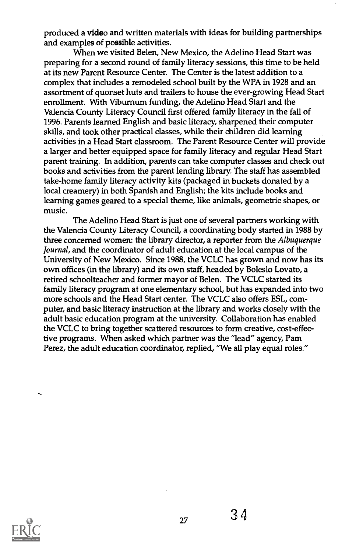produced a video and written materials with ideas for building partnerships and examples of possible activities.

When we visited Belen, New Mexico, the Adelino Head Start was preparing for a second round of family literacy sessions, this time to be held at its new Parent Resource Center. The Center is the latest addition to a complex that includes a remodeled school built by the WPA in 1928 and an assortment of quonset huts and trailers to house the ever-growing Head Start enrollment. With Viburnum funding, the Adelino Head Start and the Valencia County Literacy Council first offered family literacy in the fall of 1996. Parents learned English and basic literacy, sharpened their computer skills, and took other practical classes, while their children did learning activities in a Head Start classroom. The Parent Resource Center will provide a larger and better equipped space for family literacy and regular Head Start parent training. In addition, parents can take computer classes and check out books and activities from the parent lending library. The staff has assembled take-home family literacy activity kits (packaged in buckets donated by a local creamery) in both Spanish and English; the kits include books and learning games geared to a special theme, like animals, geometric shapes, or music.

The Adelino Head Start is just one of several partners working with the Valencia County Literacy Council, a coordinating body started in 1988 by three concerned women: the library director, a reporter from the Albuquerque Journal, and the coordinator of adult education at the local campus of the University of New Mexico. Since 1988, the VCLC has grown and now has its own offices (in the library) and its own staff, headed by Boleslo Lovato, a retired schoolteacher and former mayor of Belen. The VCLC started its family literacy program at one elementary school, but has expanded into two more schools and the Head Start center. The VCLC also offers ESL, computer, and basic literacy instruction at the library and works closely with the adult basic education program at the university. Collaboration has enabled the VCLC to bring together scattered resources to form creative, cost-effective programs. When asked which partner was the "lead" agency, Pam Perez, the adult education coordinator, replied, "We all play equal roles."

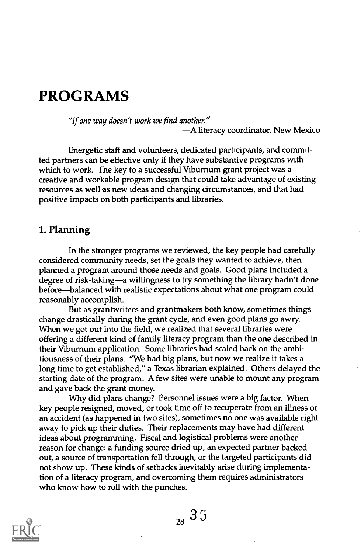# PROGRAMS

"If one way doesn't work we find another." A literacy coordinator, New Mexico

Energetic staff and volunteers, dedicated participants, and committed partners can be effective only if they have substantive programs with which to work. The key to a successful Viburnum grant project was a creative and workable program design that could take advantage of existing resources as well as new ideas and changing circumstances, and that had positive impacts on both participants and libraries.

#### 1. Planning

In the stronger programs we reviewed, the key people had carefully considered community needs, set the goals they wanted to achieve, then planned a program around those needs and goals. Good plans included a degree of risk-taking-a willingness to try something the library hadn't done before—balanced with realistic expectations about what one program could reasonably accomplish.

But as grantwriters and grantmakers both know, sometimes things change drastically during the grant cycle, and even good plans go awry. When we got out into the field, we realized that several libraries were offering a different kind of family literacy program than the one described in their Viburnum application. Some libraries had scaled back on the ambitiousness of their plans. "We had big plans, but now we realize it takes a long time to get established," a Texas librarian explained. Others delayed the starting date of the program. A few sites were unable to mount any program and gave back the grant money.

Why did plans change? Personnel issues were a big factor. When key people resigned, moved, or took time off to recuperate from an illness or an accident (as happened in two sites), sometimes no one was available right away to pick up their duties. Their replacements may have had different ideas about programming. Fiscal and logistical problems were another reason for change: a funding source dried up, an expected partner backed out, a source of transportation fell through, or the targeted participants did not show up. These kinds of setbacks inevitably arise during implementation of a literacy program, and overcoming them requires administrators who know how to roll with the punches.

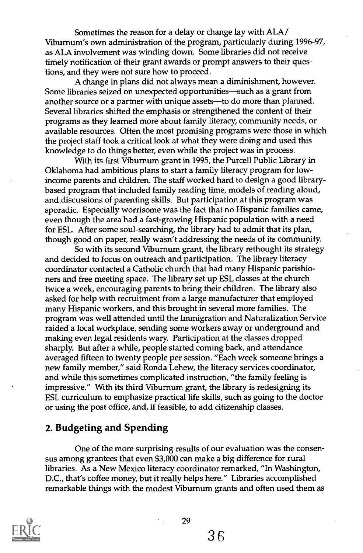Sometimes the reason for a delay or change lay with ALA/ Viburnum's own administration of the program, particularly during 1996-97, as ALA involvement was winding down. Some libraries did not receive timely notification of their grant awards or prompt answers to their questions, and they were not sure how to proceed.

A change in plans did not always mean a diminishment, however. Some libraries seized on unexpected opportunities-such as a grant from another source or a partner with unique assets-to do more than planned. Several libraries shifted the emphasis or strengthened the content of their programs as they learned more about family literacy, community needs, or available resources. Often the most promising programs were those in which the project staff took a critical look at what they were doing and used this knowledge to do things better, even while the project was in process.

With its first Viburnum grant in 1995, the Purcell Public Library in Oklahoma had ambitious plans to start a family literacy program for lowincome parents and children. The staff worked hard to design a good librarybased program that included family reading time, models of reading aloud, and discussions of parenting skills. But participation at this program was sporadic. Especially worrisome was the fact that no Hispanic families came, even though the area had a fast-growing Hispanic population with a need for ESL. After some soul-searching, the library had to admit that its plan, though good on paper, really wasn't addressing the needs of its community.

So with its second Viburnum grant, the library rethought its strategy and decided to focus on outreach and participation. The library literacy coordinator contacted a Catholic church that had many Hispanic parishioners and free meeting space. The library set up ESL classes at the church twice a week, encouraging parents to bring their children. The library also asked for help with recruitment from a large manufacturer that employed many Hispanic workers, and this brought in several more families. The program was well attended until the Immigration and Naturalization Service raided a local workplace, sending some workers away or underground and making even legal residents wary. Participation at the classes dropped sharply. But after a while, people started coming back, and attendance averaged fifteen to twenty people per session. "Each week someone brings a new family member," said Ronda Lehew, the literacy services coordinator, and while this sometimes complicated instruction, "the family feeling is impressive." With its third Viburnum grant, the library is redesigning its ESL curriculum to emphasize practical life skills, such as going to the doctor or using the post office, and, if feasible, to add citizenship classes.

### 2. Budgeting and Spending

One of the more surprising results of our evaluation was the consensus among grantees that even \$3,000 can make a big difference for rural libraries. As a New Mexico literacy coordinator remarked, "In Washington, D.C., that's coffee money, but it really helps here." Libraries accomplished remarkable things with the modest Viburnum grants and often used them as

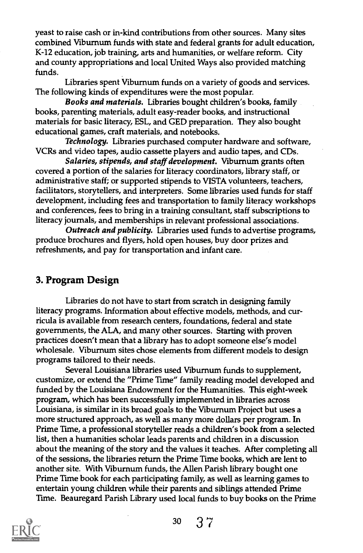yeast to raise cash or in-kind contributions from other sources. Many sites combined Viburnum funds with state and federal grants for adult education, K-12 education, job training, arts and humanities, or welfare reform. City and county appropriations and local United Ways also provided matching funds.

Libraries spent Viburnum funds on a variety of goods and services. The following kinds of expenditures were the most popular.

Books and materials. Libraries bought children's books, family books, parenting materials, adult easy-reader books, and instructional materials for basic literacy, ESL, and GED preparation. They also bought educational games, craft materials, and notebooks.

Technology. Libraries purchased computer hardware and software, VCRs and video tapes, audio cassette players and audio tapes, and CDs.

Salaries, stipends, and staff development. Viburnum grants often covered a portion of the salaries for literacy coordinators, library staff, or administrative staff; or supported stipends to VISTA volunteers, teachers, facilitators, storytellers, and interpreters. Some libraries used funds for staff development, including fees and transportation to family literacy workshops and conferences, fees to bring in a training consultant, staff subscriptions to literacy journals, and memberships in relevant professional associations.

Outreach and publicity. Libraries used funds to advertise programs, produce brochures and flyers, hold open houses, buy door prizes and refreshments, and pay for transportation and infant care.

### 3. Program Design

Libraries do not have to start from scratch in designing family literacy programs. Information about effective models, methods, and curricula is available from research centers, foundations, federal and state governments, the ALA, and many other sources. Starting with proven practices doesn't mean that a library has to adopt someone else's model wholesale. Viburnum sites chose elements from different models to design programs tailored to their needs.

Several Louisiana libraries used Viburnum funds to supplement, customize, or extend the "Prime Time" family reading model developed and funded by the Louisiana Endowment for the Humanities. This eight-week program, which has been successfully implemented in libraries across Louisiana, is similar in its broad goals to the Viburnum Project but uses a more structured approach, as well as many more dollars per program. In Prime Time, a professional storyteller reads a children's book from a selected list, then a humanities scholar leads parents and children in a discussion about the meaning of the story and the values it teaches. After completing all of the sessions, the libraries return the Prime Time books, which are lent to another site. With Viburnum funds, the Allen Parish library bought one Prime Time book for each participating family, as well as learning games to entertain young children while their parents and siblings attended Prime Time. Beauregard Parish Library used local funds to buy books on the Prime



30 37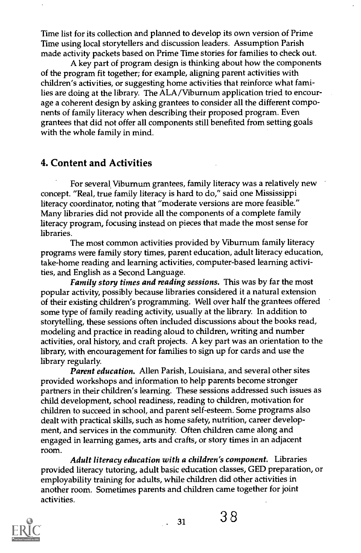Time list for its collection and planned to develop its own version of Prime Time using local storytellers and discussion leaders. Assumption Parish made activity packets based on Prime Time stories for families to check out.

A key part of program design is thinking about how the components of the program fit together; for example, aligning parent activities with children's activities, or suggesting home activities that reinforce what families are doing at the library. The ALA/Viburnum application tried to encourage a coherent design by asking grantees to consider all the different components of family literacy when describing their proposed program. Even grantees that did not offer all components still benefited from setting goals with the whole family in mind.

#### 4. Content and Activities

For several Viburnum grantees, family literacy was a relatively new concept. "Real, true family literacy is hard to do," said one Mississippi literacy coordinator, noting that "moderate versions are more feasible." Many libraries did not provide all the components of a complete family literacy program, focusing instead on pieces that made the most sense for libraries.

The most common activities provided by Viburnum family literacy programs were family story times, parent education, adult literacy education, take-home reading and learning activities, computer-based learning activities, and English as a Second Language.

Family story times and reading sessions. This was by far the most popular activity, possibly because libraries considered it a natural extension of their existing children's programming. Well over half the grantees offered some type of family reading activity, usually at the library. In addition to storytelling, these sessions often included discussions about the books read, modeling and practice in reading aloud to children, writing and number activities, oral history, and craft projects. A key part was an orientation to the library, with encouragement for families to sign up for cards and use the library regularly.

Parent education. Allen Parish, Louisiana, and several other sites provided workshops and information to help parents become stronger partners in their children's learning. These sessions addressed such issues as child development, school readiness, reading to children, motivation for children to succeed in school, and parent self-esteem. Some programs also dealt with practical skills, such as home safety, nutrition, career development, and services in the community. Often children came along and engaged in learning games, arts and crafts, or story times in an adjacent room.

Adult literacy education with a children's component. Libraries provided literacy tutoring, adult basic education classes, GED preparation, or employability training for adults, while children did other activities in another room. Sometimes parents and children came together for joint activities.



 $33 \times 38$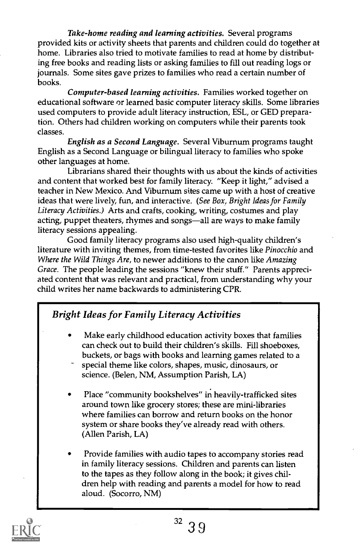Take-home reading and learning activities. Several programs provided kits or activity sheets that parents and children could do together at home. Libraries also tried to motivate families to read at home by distributing free books and reading lists or asking families to fill out reading logs or journals. Some sites gave prizes to families who read a certain number of books.

Computer-based learning activities. Families worked together on educational software or learned basic computer literacy skills. Some libraries used computers to provide adult literacy instruction, ESL, or GED preparation. Others had children working on computers while their parents took classes.

English as a Second Language. Several Viburnum programs taught English as a Second Language or bilingual literacy to families who spoke other languages at home.

Librarians shared their thoughts with us about the kinds of activities and content that worked best for family literacy. "Keep it light," advised a teacher in New Mexico. And Viburnum sites came up with a host of creative ideas that were lively, fun, and interactive. (See Box, Bright Ideas for Family Literacy Activities.) Arts and crafts, cooking, writing, costumes and play acting, puppet theaters, rhymes and songs—all are ways to make family literacy sessions appealing.

Good family literacy programs also used high-quality children's literature with inviting themes, from time-tested favorites like Pinocchio and Where the Wild Things Are, to newer additions to the canon like Amazing Grace. The people leading the sessions "knew their stuff." Parents appreciated content that was relevant and practical, from understanding why your child writes her name backwards to administering CPR.

# Bright Ideas for Family Literacy Activities

- Make early childhood education activity boxes that families can check out to build their children's skills. Fill shoeboxes, buckets, or bags with books and learning games related to a
	- special theme like colors, shapes, music, dinosaurs, or science. (Belen, NM, Assumption Parish, LA)
- Place "community bookshelves" in heavily-trafficked sites around town like grocery stores; these are mini-libraries where families can borrow and return books on the honor system or share books they've already read with others. (Allen Parish, LA)
- Provide families with audio tapes to accompany stories read in family literacy sessions. Children and parents can listen to the tapes as they follow along in the book; it gives children help with reading and parents a model for how to read aloud. (Socorro, NM)

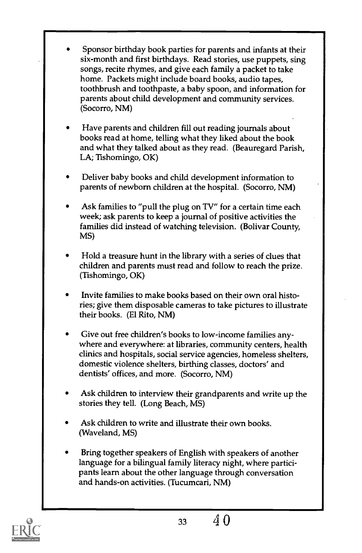- Sponsor birthday book parties for parents and infants at their six-month and first birthdays. Read stories, use puppets, sing songs, recite rhymes, and give each family a packet to take home. Packets might include board books, audio tapes, toothbrush and toothpaste, a baby spoon, and information for parents about child development and community services. (Socorro, NM)
- Have parents and children fill out reading journals about books read at home, telling what they liked about the book and what they talked about as they read. (Beauregard Parish, LA; Tishomingo, OK)
- Deliver baby books and child development information to parents of newborn children at the hospital. (Socorro, NM)
- Ask families to "pull the plug on TV" for a certain time each week; ask parents to keep a journal of positive activities the families did instead of watching television. (Bolivar County, MS)
- Hold a treasure hunt in the library with a series of clues that children and parents must read and follow to reach the prize. (Tishomingo, OK)
- Invite families to make books based on their own oral histories; give them disposable cameras to take pictures to illustrate their books. (El Rito, NM)
- Give out free children's books to low-income families anywhere and everywhere: at libraries, community centers, health clinics and hospitals, social service agencies, homeless shelters, domestic violence shelters, birthing classes, doctors' and dentists' offices, and more. (Socorro, NM)
- Ask children to interview their grandparents and write up the stories they tell. (Long Beach, MS)
- Ask children to write and illustrate their own books. (Waveland, MS)
- Bring together speakers of English with speakers of another language for a bilingual family literacy night, where participants learn about the other language through conversation and hands-on activities. (Tucumcari, NM)

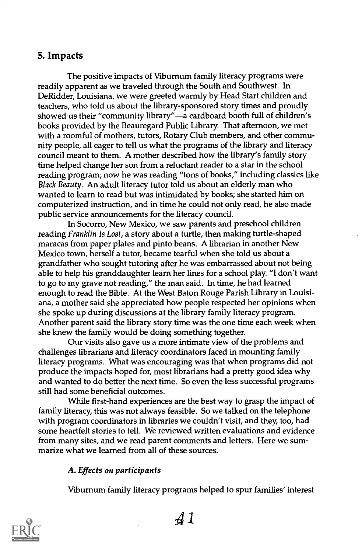## 5. Impacts

The positive impacts of Viburnum family literacy programs were readily apparent as we traveled through the South and Southwest. In DeRidder, Louisiana, we were greeted warmly by Head Start children and teachers, who told us about the library-sponsored story times and proudly showed us their "community library"—a cardboard booth full of children's books provided by the Beauregard Public Library. That afternoon, we met with a roomful of mothers, tutors, Rotary Club members, and other community people, all eager to tell us what the programs of the library and literacy council meant to them. A mother described how the library's family story time helped change her son from a reluctant reader to a star in the school reading program; now he was reading "tons of books," including classics like Black Beauty. An adult literacy tutor told us about an elderly man who wanted to learn to read but was intimidated by books; she started him on computerized instruction, and in time he could not only read, he also made public service announcements for the literacy council.

In Socorro, New Mexico, we saw parents and preschool children reading Franklin Is Lost, a story about a turtle, then making turtle-shaped maracas from paper plates and pinto beans. A librarian in another New Mexico town, herself a tutor, became tearful when she told us about a grandfather who sought tutoring after he was embarrassed about not being able to help his granddaughter learn her lines for a school play. "I don't want to go to my grave not reading," the man said. In time, he had learned enough to read the Bible. At the West Baton Rouge Parish Library in Louisiana, a mother said she appreciated how people respected her opinions when she spoke up during discussions at the library family literacy program. Another parent said the library story time was the one time each week when she knew the family would be doing something together.

Our visits also gave us a more intimate view of the problems and challenges librarians and literacy coordinators faced in mounting family literacy programs. What was encouraging was that when programs did not produce the impacts hoped for, most librarians had a pretty good idea why and wanted to do better the next time. So even the less successful programs still had some beneficial outcomes.

While first-hand experiences are the best way to grasp the impact of family literacy, this was not always feasible. So we talked on the telephone with program coordinators in libraries we couldn't visit, and they, too, had some heartfelt stories to tell. We reviewed written evaluations and evidence from many sites, and we read parent comments and letters. Here we summarize what we learned from all of these sources.

#### A. Effects on participants

Viburnum family literacy programs helped to spur families' interest

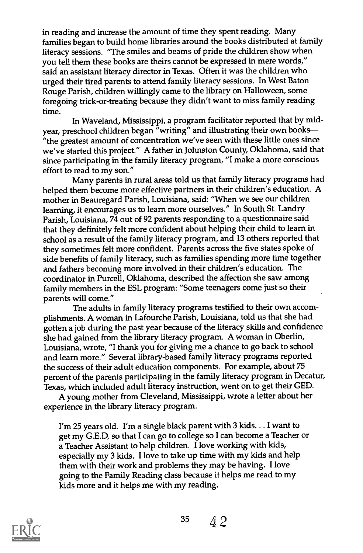in reading and increase the amount of time they spent reading. Many families began to build home libraries around the books distributed at family literacy sessions. "The smiles and beams of pride the children show when you tell them these books are theirs cannot be expressed in mere words," said an assistant literacy director in Texas. Often it was the children who urged their tired parents to attend family literacy sessions. In West Baton Rouge Parish, children willingly came to the library on Halloween, some foregoing trick-or-treating because they didn't want to miss family reading time.

In Waveland, Mississippi, a program facilitator reported that by midyear, preschool children began "writing" and illustrating their own books-"the greatest amount of concentration we've seen with these little ones since we've started this project." A father in Johnston County, Oklahoma, said that since participating in the family literacy program, "I make a more conscious effort to read to my son."

Many parents in rural areas told us that family literacy programs had helped them become more effective partners in their children's education. A mother in Beauregard Parish, Louisiana, said: "When we see our children learning, it encourages us to learn more ourselves." In South St. Landry Parish, Louisiana, 74 out of 92 parents responding to a questionnaire said that they definitely felt more confident about helping their child to learn in school as a result of the family literacy program, and 13 others reported that they sometimes felt more confident. Parents across the five states spoke of side benefits of family literacy, such as families spending more time together and fathers becoming more involved in their children's education. The coordinator in Purcell, Oklahoma, described the affection she saw among family members in the ESL program: "Some teenagers come just so their parents will come."

The adults in family literacy programs testified to their own accomplishments. A woman in Lafourche Parish, Louisiana, told us that she had gotten a job during the past year because of the literacy skills and confidence she had gained from the library literacy program. A woman in Oberlin, Louisiana, wrote, "I thank you for giving me a chance to go back to school and learn more." Several library-based family literacy programs reported the success of their adult education components. For example, about 75 percent of the parents participating in the family literacy program in Decatur, Texas, which included adult literacy instruction, went on to get their GED.

A young mother from Cleveland, Mississippi, wrote a letter about her experience in the library literacy program.

I'm 25 years old. I'm a single black parent with 3 kids. . . I want to get my G.E.D. so that I can go to college so I can become a Teacher or a Teacher Assistant to help children. I love working with kids, especially my 3 kids. I love to take up time with my kids and help them with their work and problems they may be having. I love going to the Family Reading class because it helps me read to my kids more and it helps me with my reading.

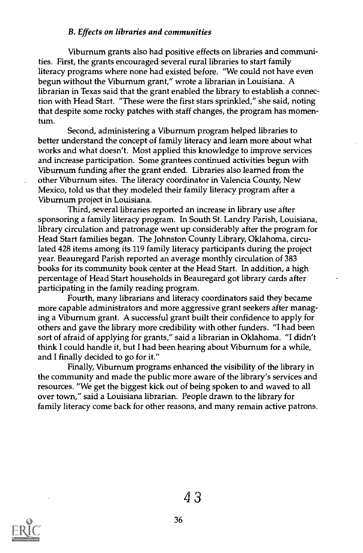#### B. Effects on libraries and communities

Viburnum grants also had positive effects on libraries and communities. First, the grants encouraged several rural libraries to start family literacy programs where none had existed before. "We could not have even begun without the Viburnum grant," wrote a librarian in Louisiana. A librarian in Texas said that the grant enabled the library to establish a connection with Head Start. "These were the first stars sprinkled," she said, noting that despite some rocky patches with staff changes, the program has momentum.

Second, administering a Viburnum program helped libraries to better understand the concept of family literacy and learn more about what works and what doesn't. Most applied this knowledge to improve services and increase participation. Some grantees continued activities begun with Viburnum funding after the grant ended. Libraries also learned from the other Viburnum sites. The literacy coordinator in Valencia County, New Mexico, told us that they modeled their family literacy program after a Viburnum project in Louisiana.

Third, several libraries reported an increase in library use after sponsoring a family literacy program. In South St. Landry Parish, Louisiana, library circulation and patronage went up considerably after the program for Head Start families began. The Johnston County Library, Oklahoma, circulated 428 items among its 119 family literacy participants during the project year. Beauregard Parish reported an average monthly circulation of 383 books for its community book center at the Head Start. In addition, a high percentage of Head Start households in Beauregard got library cards after participating in the family reading program.

Fourth, many librarians and literacy coordinators said they became more capable administrators and more aggressive grant seekers after managing a Viburnum grant. A successful grant built their confidence to apply for others and gave the library more credibility with other funders. "I had been sort of afraid of applying for grants," said a librarian in Oklahoma. "I didn't think I could handle it, but I had been hearing about Viburnum for a while, and I finally decided to go for it."

Finally, Viburnum programs enhanced the visibility of the library in the community and made the public more aware of the library's services and resources. "We get the biggest kick out of being spoken to and waved to all over town," said a Louisiana librarian. People drawn to the library for family literacy come back for other reasons, and many remain active patrons.

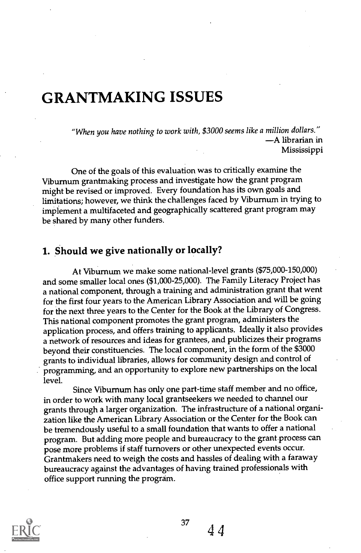# GRANTMAKING ISSUES

"When you have nothing to work with, \$3000 seems like a million dollars." A librarian in Mississippi

One of the goals of this evaluation was to critically examine the Viburnum grantmaking process and investigate how the grant program might be revised or improved. Every foundation has its own goals and limitations; however, we think the challenges faced by Viburnum in trying to implement a multifaceted and geographically scattered grant program may be shared by many other funders.

#### 1. Should we give nationally or locally?

At Viburnum we make some national-level grants (\$75,000-150,000) and some smaller local ones (\$1,000-25,000). The Family Literacy Project has a national component, through a training and administration grant that went for the first four years to the American Library Association and will be going for the next three years to the Center for the Book at the Library of Congress. This national component promotes the grant program, administers the application process, and offers training to applicants. Ideally it also provides a network of resources and ideas for grantees, and publicizes their programs beyond their constituencies. The local component, in the form of the \$3000 grants to individual libraries, allows for community design and control of programming, and an opportunity to explore new partnerships on the local level.

Since Viburnum has only one part-time staff member and no office, in order to work with many local grantseekers we needed to channel our grants through a larger organization. The infrastructure of a national organization like the American Library Association or the Center for the Book can be tremendously useful to a small foundation that wants to offer a national program. But adding more people and bureaucracy to the grant process can pose more problems if staff turnovers or other unexpected events occur. Grantmakers need to weigh the costs and hassles of dealing with a faraway bureaucracy against the advantages of having trained professionals with office support running the program.

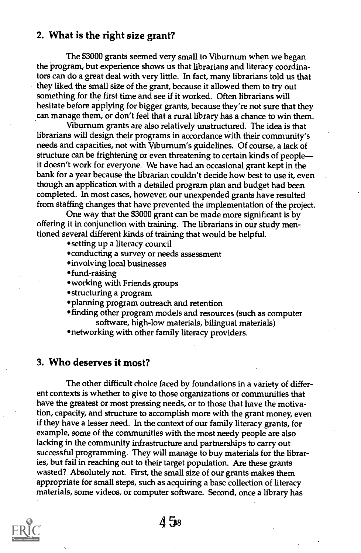#### 2. What is the right size grant?

The \$3000 grants seemed very small to Viburnum when we began the program, but experience shows us that librarians and literacy coordinators can do a great deal with very little. In fact, many librarians told us that they liked the small size of the grant, because it allowed them to try out something for the first time and see if it worked. Often librarians will hesitate before applying for bigger grants, because they're not sure that they can manage them, or don't feel that a rural library has a chance to win them.

Viburnum grants are also relatively unstructured. The idea is that librarians will design their programs in accordance with their community's needs and capacities, not with Viburnum's guidelines. Of course, a lack of structure can be frightening or even threatening to certain kinds of people it doesn't work for everyone. We have had an occasional grant kept in the bank for a year because the librarian couldn't decide how best to use it, even though an application with a detailed program plan and budget had been completed. In most cases, however, our unexpended grants have resulted from staffing changes that have prevented the implementation of the project.

One way that the \$3000 grant can be made more significant is by offering it in conjunction with training. The librarians in our study mentioned several different kinds of training that would be helpful.

- \*setting up a literacy council
- \*conducting a survey or needs assessment
- \*involving local businesses
- \*fund-raising
- \*working with Friends groups
- \* structuring a program
- \* planning program outreach and retention
- finding other program models and resources (such as computer software, high-low materials, bilingual materials)
- \*networking with other family literacy providers.

#### 3. Who deserves it most?

The other difficult choice faced by foundations in a variety of different contexts is whether to give to those organizations or communities that have the greatest or most pressing needs, or to those that have the motivation, capacity, and structure to accomplish more with the grant money, even if they have a lesser need. In the context of our family literacy grants, for example, some of the communities with the most needy people are also lacking in the community infrastructure and partnerships to carry out successful programming. They will manage to buy materials for the libraries, but fail in reaching out to their target population. Are these grants wasted? Absolutely not. First, the small size of our grants makes them appropriate for small steps, such as acquiring a base collection of literacy materials, some videos, or computer software. Second, once a library has



4 58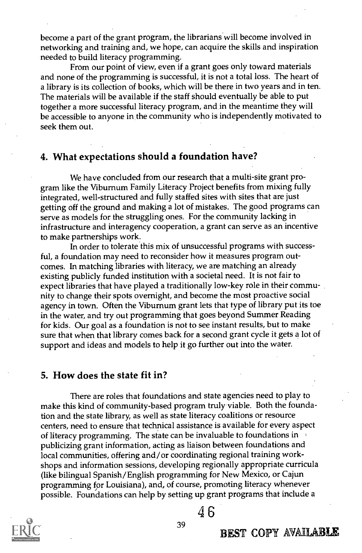become a part of the grant program, the librarians will become involved in networking and training and, we hope, can acquire the skills and inspiration needed to build literacy programming.

From our point of view, even if a grant goes only toward materials and none of the programming is successful, it is not a total loss. The heart of a library is its collection of books, which will be there in two years and in ten. The materials will be available if the staff should eventually be able to put together a more successful literacy program, and in the meantime they will be accessible to anyone in the community who is independently motivated to seek them out.

#### 4. What expectations should a foundation have?

We have concluded from our research that a multi-site grant program like the Viburnum Family Literacy Project benefits from mixing fully integrated, well-structured and fully staffed sites with sites that are just getting off the ground and making a lot of mistakes. The good programs can serve as models for the struggling ones. For the community lacking in infrastructure and interagency cooperation, a grant can serve as an incentive to make partnerships work.

In order to tolerate this mix of unsuccessful programs with successful, a foundation may need to reconsider how it measures program outcomes. In matching libraries with literacy, we are matching an already existing publicly funded institution with a societal need. It is not fair to expect libraries that have played a traditionally low-key role in their community to change their spots overnight, and become the most proactive social agency in town. Often the Viburnum grant lets that type of library put its toe in the water, and try out programming that goes beyond Summer Reading for kids. Our goal as a foundation is not to see instant results, but to make sure that when that library comes back for a second grant cycle it gets a lot of support and ideas and models to help it go further out into the water.

#### 5. How does the state fit in?

There are roles that foundations and state agencies need to play to make this kind of community-based program truly viable. Both the foundation and the state library, as well as state literacy coalitions or resource centers, need to ensure that technical assistance is available for every aspect of literacy programming. The state can be invaluable to foundations in publicizing grant information, acting as liaison between foundations and local communities, offering and/or coordinating regional training workshops and information sessions, developing regionally appropriate curricula (like bilingual Spanish/English programming for New Mexico, or Cajun programming for Louisiana), and, of course, promoting literacy whenever possible. Foundations can help by setting up grant programs that include a



4 6

## BEST COPY AVAIIABLE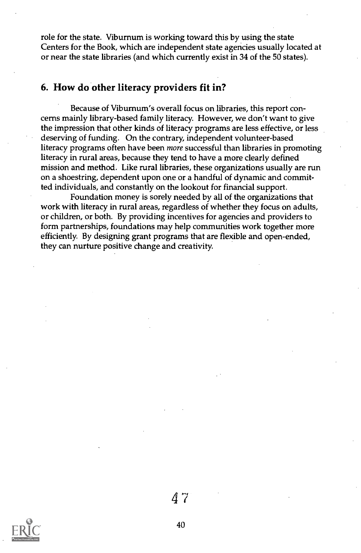role for the state. Viburnum is working toward this by using the state Centers for the Book, which are independent state agencies usually located at or near the state libraries (and which currently exist in 34 of the 50 states).

#### 6. How do other literacy providers fit in?

Because of Viburnum's overall focus on libraries, this report concerns mainly library-based family literacy. However, we don't want to give the impression that other kinds of literacy programs are less effective, or less deserving of funding. On the contrary, independent volunteer-based literacy programs often have been more successful than libraries in promoting literacy in rural areas, because they tend to have a more clearly defined mission and method. Like rural libraries, these organizations usually are run on a shoestring, dependent upon one or a handful of dynamic and committed individuals, and constantly on the lookout for financial support.

Foundation money is sorely needed by all of the organizations that work with literacy in rural areas, regardless of whether they focus on adults, or children, or both. By providing incentives for agencies and providers to form partnerships, foundations may help communities work together more efficiently. By designing grant programs that are flexible and open-ended, they can nurture positive change and creativity.



4 7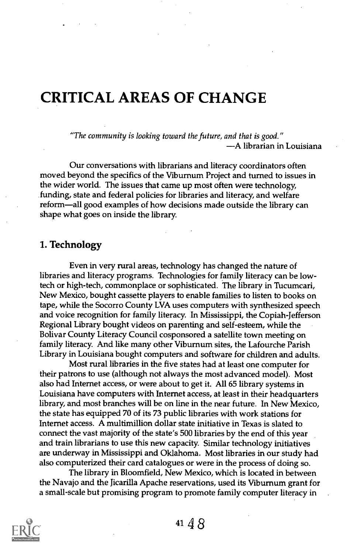# CRITICAL AREAS OF CHANGE

"The community is looking toward the future, and that is good." A librarian in Louisiana

Our conversations with librarians and literacy coordinators often moved beyond the specifics of the Viburnum Project and turned to issues in the wider world. The issues that came up most often were technology, funding, state and federal policies for libraries and literacy, and welfare reform—all good examples of how decisions made outside the library can shape what goes on inside the library

#### 1. Technology

Even in very rural areas, technology has changed the nature of libraries and literacy programs. Technologies for family literacy can be lowtech or high-tech, commonplace or sophisticated. The library in Tucumcari, New Mexico, bought cassette players to enable families to listen to books on tape, while the Socorro County LVA uses computers with synthesized speech and voice recognition for family literacy. In Mississippi, the Copiah-Jefferson Regional Library bought videos on parenting and self-esteem, while the Bolivar County Literacy Council cosponsored a satellite town meeting on family literacy. And like many other Viburnum sites, the Lafourche Parish Library in Louisiana bought computers and software for children and adults.

Most rural libraries in the five states had at least one computer for their patrons to use (although not always the most advanced model). Most also had Internet access, or were about to get it. All 65 library systems in Louisiana have computers with Internet access, at least in their headquarters library, and most branches will be on line in the near future. In New Mexico, the state has equipped 70 of its 73 public libraries with work stations for Internet access. A multimillion dollar state initiative in Texas is slated to connect the vast majority of the state's 500 libraries by the end of this year and train librarians to use this new capacity. Similar technology initiatives are underway in Mississippi and Oklahoma. Most libraries in our study had also computerized their card catalogues or were in the process of doing so.

The library in Bloomfield, New Mexico, which is located in between the Navajo and the Jicarilla Apache reservations, used its Viburnum grant for a small-scale but promising program to promote family computer literacy in

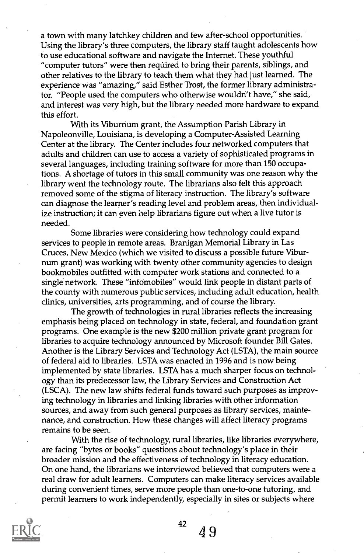a town with many latchkey children and few after-school opportunities. Using the library's three computers, the library staff taught adolescents how to use educational software and navigate the Internet. These youthful "computer tutors" were then required to bring their parents, siblings, and other relatives to the library to teach them what they had just learned. The experience was "amazing," said Esther Trost, the former library administrator. "People used the computers who otherwise wouldn't have," she said, and interest was very high, but the library needed more hardware to expand this effort.

With its Viburnum grant, the Assumption Parish Library in Napoleonville, Louisiana, is developing a Computer-Assisted Learning Center at the library. The Center includes four networked computers that adults and children can use to access a variety of sophisticated programs in several languages, including training software for more than 150 occupations. A shortage of tutors in this small community was one reason why the library went the technology route. The librarians also felt this approach removed some of the stigma of literacy instruction. The library's software can diagnose the learner's reading level and problem areas, then individualize instruction; it can even help librarians figure out when a live tutor is needed.

Some libraries were considering how technology could expand services to people in remote areas. Branigan Memorial Library in Las Cruces, New Mexico (which we visited to discuss a possible future Viburnum grant) was working with twenty other community agencies to design bookmobiles outfitted with computer work stations and connected to a single network. These "infomobiles" would link people in distant parts of the county with numerous public services, including adult education, health clinics, universities, arts programming, and of course the library.

The growth of technologies in rural libraries reflects the increasing emphasis being placed on technology in state, federal, and foundation grant programs. One example is the new \$200 million private grant program for libraries to acquire technology announced by Microsoft founder Bill Gates. Another is the Library Services and Technology Act (LSTA), the main source of federal aid to libraries. LSTA was enacted in 1996 and is now being implemented by state libraries. LSTA has a much sharper focus on technology than its predecessor law, the Library Services and Construction Act (LSCA). The new law shifts federal funds toward such purposes as improving technology in libraries and linking libraries with other information sources, and away from such general purposes as library services, maintenance, and construction. How these changes will affect literacy programs remains to be seen.

With the rise of technology, rural libraries, like libraries everywhere, are facing "bytes or books" questions about technology's place in their broader mission and the effectiveness of technology in literacy education. On one hand, the librarians we interviewed believed that computers were a real draw for adult learners. Computers can make literacy services available during convenient times, serve more people than one-to-one tutoring, and permit learners to work independently, especially in sites or subjects where



42 4 9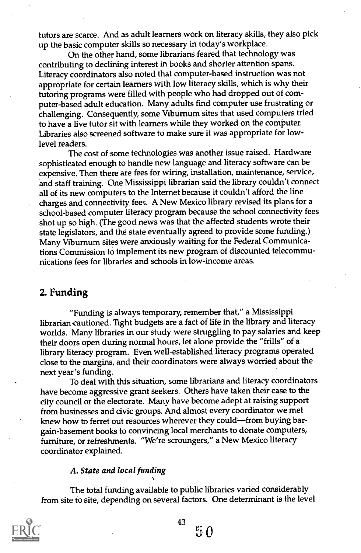tutors are scarce. And as adult learners work on literacy skills, they also pick up the basic computer skills so necessary in today's workplace.

On the other hand, some librarians feared that technology was contributing to declining interest in books and shorter attention spans. Literacy coordinators also noted that computer-based instruction was not appropriate for certain learners with low literacy skills, which is why their tutoring programs were filled with people who had dropped out of computer-based adult education. Many adults find computer use frustrating or challenging. Consequently, some Viburnum sites that used computers tried to have a live tutor sit with learners while they worked on the computer. Libraries also screened software to make sure it was appropriate for lowlevel readers.

The cost of some technologies was another issue raised. Hardware sophisticated enough to handle new language and literacy software can be expensive. Then there are fees for wiring, installation, maintenance, service, and staff training. One Mississippi librarian said the library couldn't connect all of its new computers to the Internet because it couldn't afford the line charges and connectivity fees. A New Mexico library revised its plans for a school-based computer literacy program because the school connectivity fees shot up so high. (The good news was that the affected students wrote their state legislators, and the state eventually agreed to provide some funding.) Many Viburnum sites were anxiously waiting for the Federal Communications Commission to implement its new program of discounted telecommunications fees for libraries and schools in low-income areas.

#### 2. Funding

"Funding is always temporary, remember that," a Mississippi librarian cautioned. Tight budgets are a fact of life in the library and literacy worlds. Many libraries in our study were struggling to pay salaries and keep their doors open during normal hours, let alone provide the "frills" of a library literacy program. Even well-established literacy programs operated close to the margins, and their coordinators were always worried about the next year's funding.

To deal with this situation, some librarians and literacy coordinators have become aggressive grant seekers. Others have taken their case to the city council or the electorate. Many have become adept at raising support from businesses and civic groups. And almost every coordinator we met knew how to ferret out resources wherever they could-from buying bargain-basement books to convincing local merchants to donate computers, furniture, or refreshments. "We're scroungers," a New Mexico literacy coordinator explained.

#### A. State and local funding

The total funding available to public libraries varied considerably from site to site, depending on several factors. One determinant is the level



43

 $50$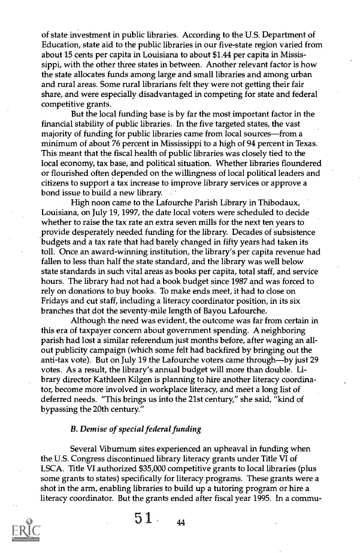of state investment in public libraries. According to the U.S. Department of Education, state aid to the public libraries in our five-state region varied from about 15 cents per capita in Louisiana to about \$1.44 per capita in Mississippi, with the other three states in between. Another relevant factor is how the state allocates funds among large and small libraries and among urban and rural areas. Some rural librarians felt they were not getting their fair share, and were especially disadvantaged in competing for state and federal competitive grants.

But the local funding base is by far the most important factor in the financial stability of public libraries. In the five targeted states, the vast majority of funding for public libraries came from local sources—from a minimum of about 76 percent in Mississippi to a high of 94 percent in Texas. This meant that the fiscal health of public libraries was closely tied to the local economy, tax base, and political situation. Whether libraries floundered or flourished often depended on the willingness of local political leaders and citizens to support a tax increase to improve library services or approve a bond issue to build a new library

High noon came to the Lafourche Parish Library in Thibodaux, Louisiana, on July 19, 1997, the date local voters were scheduled to decide whether to raise the tax rate an extra seven mills for the next ten years to provide desperately needed funding for the library. Decades of subsistence budgets and a tax rate that had barely changed in fifty years had taken its toll. Once an award-winning institution, the library's per capita revenue had fallen to less than half the state standard, and the library was well below state standards in such vital areas as books per capita, total staff, and service hours. The library had not had a book budget since 1987 and was forced to rely on donations to buy books. To make ends meet, it had to close on Fridays and cut staff, including a literacy coordinator position, in its six branches that dot the seventy-mile length of Bayou Lafourche.

Although the need was evident, the outcome was far from certain in this era of taxpayer concern about government spending. A neighboring parish had lost a similar referendum just months before, after waging an allout publicity campaign (which some felt had backfired by bringing out the anti-tax vote). But on July 19 the Lafourche voters came through—by just 29 votes. As a result, the library's annual budget will more than double. Library director Kathleen Kilgen is planning to hire another literacy coordinator, become more involved in workplace literacy, and meet a long list of deferred needs. "This brings us into the 21st century," she said, "kind of bypassing the 20th century."

#### B. Demise of special federal funding

Several Viburnum sites experienced an upheaval in funding when the U.S. Congress discontinued library literacy grants under Title VI of LSCA. Title VI authorized \$35,000 competitive grants to local libraries (plus some grants to states) specifically for literacy programs. These grants were a shot in the arm, enabling libraries to build up a tutoring program or hire a literacy coordinator. But the grants ended after fiscal year 1995. In a commu-



 $51 \t_{44}$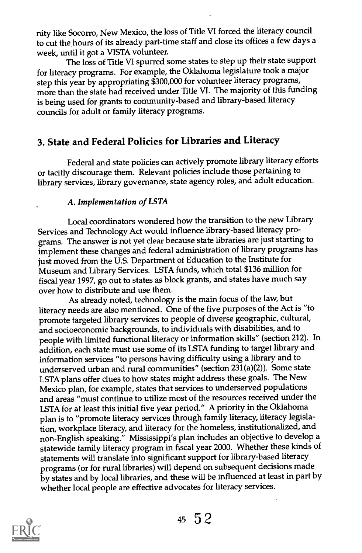nity like Socorro, New Mexico, the loss of Title VI forced the literacy council to cut the hours of its already part-time staff and close its offices a few days a week, until it got a VISTA volunteer.

The loss of Title VI spurred some states to step up their state support for literacy programs. For example, the Oklahoma legislature took a major step this year by appropriating \$300,000 for volunteer literacy programs, more than the state had received under Title VI. The majority of this funding is being used for grants to community-based and library-based literacy councils for adult or family literacy programs.

## 3. State and Federal Policies for Libraries and Literacy

Federal and state policies can actively promote library literacy efforts or tacitly discourage them. Relevant policies include those pertaining to library services, library governance, state agency roles, and adult education.

#### A. Implementation of LSTA

Local coordinators wondered how the transition to the new Library Services and Technology Act would influence library-based literacy programs. The answer is not yet clear because state libraries are just starting to implement these changes and federal administration of library programs has just moved from the U.S. Department of Education to the Institute for Museum and Library Services. LSTA funds, which total \$136 million for fiscal year 1997, go out to states as block grants, and states have much say over how to distribute and use them.

As already noted, technology is the main focus of the law, but literacy needs are also mentioned. One of the five purposes of the Act is "to promote targeted library services to people of diverse geographic, cultural, and socioeconomic backgrounds, to individuals with disabilities, and to people with limited functional literacy or information skills" (section 212). In addition, each state must use some of its LSTA funding to target library and information services "to persons having difficulty using a library and to underserved urban and rural communities" (section 231(a)(2)). Some state LSTA plans offer clues to how states might address these goals. The New Mexico plan, for example, states that services to underserved populations and areas "must continue to utilize most of the resources received under the LSTA for at least this initial five year period." A priority in the Oklahoma plan is to "promote literacy services through family literacy, literacy legislation, workplace literacy, and literacy for the homeless, institutionalized, and non-English speaking." Mississippi's plan includes an objective to develop a statewide family literacy program in fiscal year 2000. Whether these kinds of statements will translate into significant support for library-based literacy programs (or for rural libraries) will depend on subsequent decisions made by states and by local libraries, and these will be influenced at least in part by whether local people are effective advocates for literacy services.

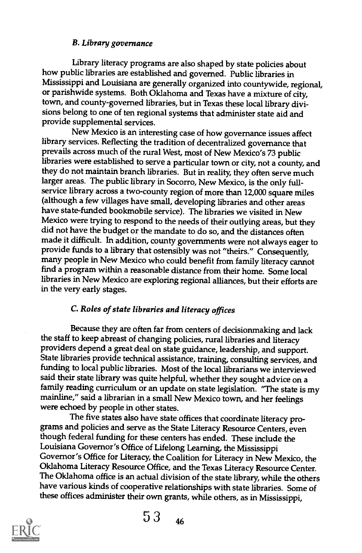#### B. Library governance

Library literacy programs are also shaped by state policies about how public libraries are established and governed. Public libraries in Mississippi and Louisiana are generally organized into countywide, regional, or parishwide systems. Both Oklahoma and Texas have a mixture of city, town, and county-governed libraries, but in Texas these local library divisions belong to one of ten regional systems that administer state aid and provide supplemental services.

New Mexico is an interesting case of how governance issues affect library services. Reflecting the tradition of decentralized governance that prevails across much of the rural West, most of New Mexico's 73 public libraries were established to serve a particular town or city, not a county, and they do not maintain branch libraries. But in reality, they often serve much larger areas. The public library in Socorro, New Mexico, is the only fullservice library across a two-county region of more than 12,000 square miles (although a few villages have small, developing libraries and other areas have state-funded bookmobile service). The libraries we visited in New<br>Mexico were trying to respond to the needs of their outlying areas, but they did not have the budget or the mandate to do so, and the distances often made it difficult. In addition, county governments were not always eager to provide funds to a library that ostensibly was not "theirs." Consequently, many people in New Mexico who could benefit from family literacy cannot find a program within a reasonable distance from their home. Some local libraries in New Mexico are exploring regional alliances, but their efforts are in the very early stages.

#### C. Roles of state libraries and literacy offices

Because they are often far from centers of decisionmaking and lack the staff to keep abreast of changing policies, rural libraries and literacy<br>providers depend a great deal on state guidance, leadership, and support. State libraries provide technical assistance, training, consulting services, and funding to local public libraries. Most of the local librarians we interviewed said their state library was quite helpful, whether they sought advice on a family reading curriculum or an update on state legislation. "The state is my mainline," said a librarian in a small New Mexico town, and her feelings were echoed by people in other states.

The five states also have state offices that coordinate literacy programs and policies and serve as the State Literacy Resource Centers, even though federal funding for these centers has ended. These include the Louisiana Governor's Office of Lifelong Learning, the Mississippi Governor's Office for Literacy, the Coalition for Literacy in New Mexico, the Oklahoma Literacy Resource Office, and the Texas Literacy Resource Center. The Oklahoma office is an actual division of the state library, while the others have various kinds of cooperative relationships with state libraries. Some of these offices administer their own grants, while others, as in Mississippi,

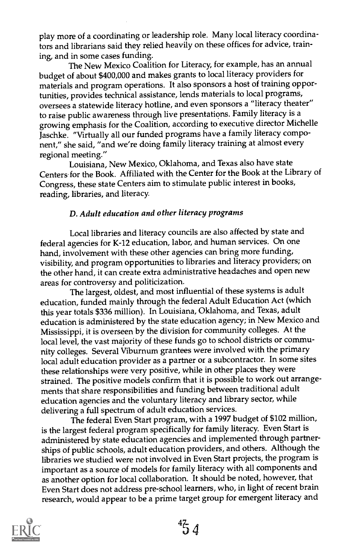play more of a coordinating or leadership role. Many local literacy coordinators and librarians said they relied heavily on these offices for advice, training, and in some cases funding.

The New Mexico Coalition for Literacy, for example, has an annual budget of about \$400,000 and makes grants to local literacy providers for materials and program operations. It also sponsors a host of training opportunities, provides technical assistance, lends materials to local programs, oversees a statewide literacy hotline, and even sponsors a "literacy theater" to raise public awareness through live presentations. Family literacy is a growing emphasis for the Coalition, according to executive director Michelle Jaschke. "Virtually all our funded programs have a family literacy component," she said, "and we're doing family literacy training at almost every regional meeting."

Louisiana, New Mexico, Oklahoma, and Texas also have state Centers for the Book. Affiliated with the Center for the Book at the Library of Congress, these state Centers aim to stimulate public interest in books, reading, libraries, and literacy.

#### D. Adult education and other literacy programs

Local libraries and literacy councils are also affected by state and federal agencies for K-12 education, labor, and human services. On one hand, involvement with these other agencies can bring more funding, visibility, and program opportunities to libraries and literacy providers; on the other hand, it can create extra administrative headaches and open new areas for controversy and politicization.

The largest, oldest, and most influential of these systems is adult education, funded mainly through the federal Adult Education Act (which this year totals \$336 million). In Louisiana, Oklahoma, and Texas, adult education is administered by the state education agency; in New Mexico and Mississippi, it is overseen by the division for community colleges. At the local level, the vast majority of these funds go to school districts or community colleges. Several Viburnum grantees were involved with the primary local adult education provider as a partner or a subcontractor. In some sites these relationships were very positive, while in other places they were strained. The positive models confirm that it is possible to work out arrangements that share responsibilities and funding between traditional adult education agencies and the voluntary literacy and library sector, while delivering a full spectrum of adult education services.

The federal Even Start program, with a 1997 budget of \$102 million, is the largest federal program specifically for family literacy. Even Start is administered by state education agencies and implemented through partnerships of public schools, adult education providers, and others. Although the libraries we studied were not involved in Even Start projects, the program is important as a source of models for family literacy with all components and as another option for local collaboration. It should be noted, however, that Even Start does not address pre-school learners, who, in light of recent brain research, would appear to be a prime target group for emergent literacy and

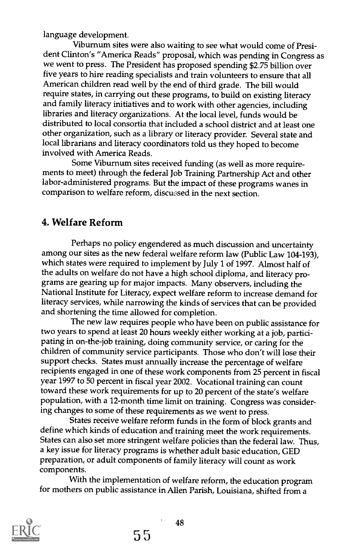language development.

Viburnum sites were also waiting to see what would come of President Clinton's "America Reads" proposal, which was pending in Congress as we went to press. The President has proposed spending \$2.75 billion over five years to hire reading specialists and train volunteers to ensure that all American children read well by the end of third grade. The bill would require states, in carrying out these programs, to build on existing literacy and family literacy initiatives and to work with other agencies, including libraries and literacy organizations. At the local level, funds would be distributed to local consortia that included a school district and at least one other organization, such as a library or literacy provider. Several state and local librarians and literacy coordinators told us they hoped to become involved with America Reads.

Some Viburnum sites received funding (as well as more requirements to meet) through the federal Job Training Partnership Act and other labor-administered programs. But the impact of these programs wanes in comparison to welfare reform, discussed in the next section.

## 4. Welfare Reform

Perhaps no policy engendered as much discussion and uncertainty among our sites as the new federal welfare reform law (Public Law 104-193), which states were required to implement by July 1 of 1997. Almost half of the adults on welfare do not have a high school diploma, and literacy programs are gearing up for major impacts. Many observers, including the National Institute for Literacy, expect welfare reform to increase demand for literacy services, while narrowing the kinds of services that can be provided and shortening the time allowed for completion.

The new law requires people who have been on public assistance for two years to spend at least 20 hours weekly either working at a job, participating in on-the-job training, doing community service, or caring for the children of community service participants. Those who don't will lose their support checks. States must annually increase the percentage of welfare recipients engaged in one of these work components from 25 percent in fiscal year 1997 to 50 percent in fiscal year 2002. Vocational training can count toward these work requirements for up to 20 percent of the state's welfare population, with a 12-month time limit on training. Congress was considering changes to some of these requirements as we went to press.

States receive welfare reform funds in the form of block grants and define which kinds of education and training meet the work requirements. States can also set more stringent welfare policies than the federal law. Thus, a key issue for literacy programs is whether adult basic education, GED preparation, or adult components of family literacy will count as work components.

With the implementation of welfare reform, the education program for mothers on public assistance in Allen Parish, Louisiana, shifted from a

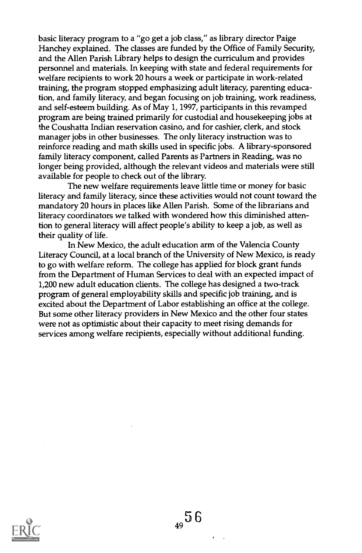basic literacy program to a "go get a job class," as library director Paige Hanchey explained. The classes are funded by the Office of Family Security, and the Allen Parish Library helps to design the curriculum and provides personnel and materials. In keeping with state and federal requirements for welfare recipients to work 20 hours a week or participate in work-related training, the program stopped emphasizing adult literacy, parenting education, and family literacy, and began focusing on job training, work readiness, and self-esteem building. As of May 1, 1997, participants in this revamped program are being trained primarily for custodial and housekeeping jobs at the Coushatta Indian reservation casino, and for cashier, clerk, and stock manager jobs in other businesses. The only literacy instruction was to reinforce reading and math skills used in specific jobs. A library-sponsored family literacy component, called Parents as Partners in Reading, was no longer being provided, although the relevant videos and materials were still available for people to check out of the library.

The new welfare requirements leave little time or money for basic literacy and family literacy, since these activities would not count toward the mandatory 20 hours in places like Allen Parish. Some of the librarians and literacy coordinators we talked with wondered how this diminished attention to general literacy will affect people's ability to keep a job, as well as their quality of life.

In New Mexico, the adult education arm of the Valencia County Literacy Council, at a local branch of the University of New Mexico, is ready to go with welfare reform. The college has applied for block grant funds from the Department of Human Services to deal with an expected impact of 1,200 new adult education clients. The college has designed a two-track program of general employability skills and specific job training, and is excited about the Department of Labor establishing an office at the college. But some other literacy providers in New Mexico and the other four states were not as optimistic about their capacity to meet rising demands for services among welfare recipients, especially without additional funding.

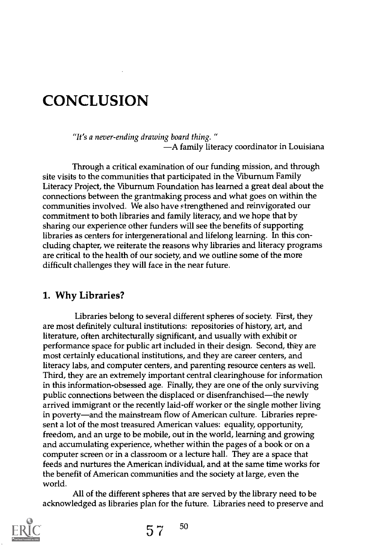# **CONCLUSION**

"It's a never-ending drawing board thing. " A family literacy coordinator in Louisiana

Through a critical examination of our funding mission, and through site visits to the communities that participated in the Viburnum Family Literacy Project, the Viburnum Foundation has learned a great deal about the connections between the grantmaking process and what goes on within the communities involved. We also have strengthened and reinvigorated our commitment to both libraries and family literacy, and we hope that by sharing our experience other funders will see the benefits of supporting libraries as centers for intergenerational and lifelong learning. In this concluding chapter, we reiterate the reasons why libraries and literacy programs are critical to the health of our society, and we outline some of the more difficult challenges they will face in the near future.

#### 1. Why Libraries?

Libraries belong to several different spheres of society. First, they are most definitely cultural institutions: repositories of history, art, and literature, often architecturally significant, and usually with exhibit or performance space for public art included in their design. Second, they are most certainly educational institutions, and they are career centers, and literacy labs, and computer centers, and parenting resource centers as well. Third, they are an extremely important central clearinghouse for information in this information-obsessed age. Finally, they are one of the only surviving public connections between the displaced or disenfranchised—the newly arrived immigrant or the recently laid-off worker or the single mother living in poverty—and the mainstream flow of American culture. Libraries represent a lot of the most treasured American values: equality, opportunity, freedom, and an urge to be mobile, out in the world, learning and growing and accumulating experience, whether within the pages of a book or on a computer screen or in a classroom or a lecture hall. They are a space that feeds and nurtures the American individual, and at the same time works for the benefit of American communities and the society at large, even the world.

All of the different spheres that are served by the library need to be acknowledged as libraries plan for the future. Libraries need to preserve and



 $57^{50}$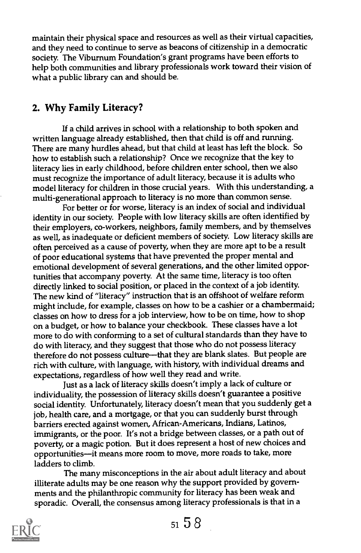maintain their physical space and resources as well as their virtual capacities, and they need to continue to serve as beacons of citizenship in a democratic society The Viburnum Foundation's grant programs have been efforts to help both communities and library professionals work toward their vision of what a public library can and should be.

#### 2. Why Family Literacy?

If a child arrives in school with a relationship to both spoken and written language already established, then that child is off and running. There are many hurdles ahead, but that child at least has left the block. So how to establish such a relationship? Once we recognize that the key to literacy lies in early childhood, before children enter school, then we also must recognize the importance of adult literacy, because it is adults who model literacy for children in those crucial years. With this understanding, a multi-generational approach to literacy is no more than common sense.

For better or for worse, literacy is an index of social and individual identity in our society. People with low literacy skills are often identified by their employers, co-workers, neighbors, family members, and by themselves as well, as inadequate or deficient members of society. Low literacy skills are often perceived as a cause of poverty, when they are more apt to be a result of poor educational systems that have prevented the proper mental and emotional development of several generations, and the other limited opportunities that accompany poverty. At the same time, literacy is too often directly linked to social position, or placed in the context of a job identity The new kind of "literacy" instruction that is an offshoot of welfare reform might include, for example, classes on how to be a cashier or a chambermaid; classes on how to dress for a job interview, how to be on time, how to shop on a budget, or how to balance your checkbook. These classes have a lot more to do with conforming to a set of cultural standards than they have to do with literacy, and they suggest that those who do not possess literacy therefore do not possess culture-that they are blank slates. But people are rich with culture, with language, with history, with individual dreams and expectations, regardless of how well they read and write.

Just as a lack of literacy skills doesn't imply a lack of culture or individuality, the possession of literacy skills doesn't guarantee a positive social identity. Unfortunately, literacy doesn't mean that you suddenly get a job, health care, and a mortgage, or that you can suddenly burst through barriers erected against women, African-Americans, Indians, Latinos, immigrants, or the poor. It's not a bridge between classes, or a path out of poverty or a magic potion. But it does represent a host of new choices and opportunities-it means more room to move, more roads to take, more ladders to climb.

The many misconceptions in the air about adult literacy and about illiterate adults may be one reason why the support provided by governments and the philanthropic community for literacy has been weak and sporadic. Overall, the consensus among literacy professionals is that in a

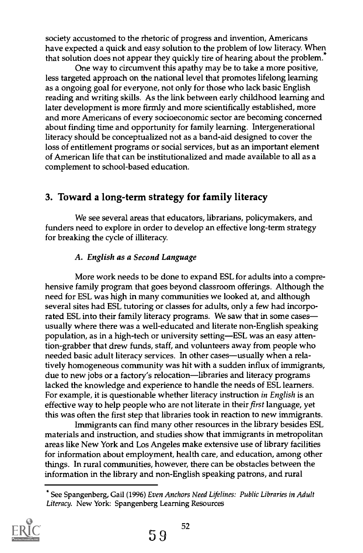society accustomed to the rhetoric of progress and invention, Americans have expected a quick and easy solution to the problem of low literacy. When that solution does not appear they quickly tire of hearing about the problem.

One way to circumvent this apathy may be to take a more positive, less targeted approach on the national level that promotes lifelong learning as a ongoing goal for everyone, not only for those who lack basic English reading and writing skills. As the link between early childhood learning and later development is more firmly and more scientifically established, more and more Americans of every socioeconomic sector are becoming concerned about finding time and opportunity for family learning. Intergenerational literacy should be conceptualized not as a band-aid designed to cover the loss of entitlement programs or social services, but as an important element of American life that can be institutionalized and made available to all as a complement to school-based education.

## 3. Toward a long-term strategy for family literacy

We see several areas that educators, librarians, policymakers, and funders need to explore in order to develop an effective long-term strategy for breaking the cycle of illiteracy.

#### A. English as a Second Language

More work needs to be done to expand ESL for adults into a comprehensive family program that goes beyond classroom offerings. Although the need for ESL was high in many communities we looked at, and although several sites had ESL tutoring or classes for adults, only a few had incorporated ESL into their family literacy programs. We saw that in some cases usually where there was a well-educated and literate non-English speaking population, as in a high-tech or university setting—ESL was an easy attention-grabber that drew funds, staff, and volunteers away from people who needed basic adult literacy services. In other cases—usually when a relatively homogeneous community was hit with a sudden influx of immigrants, due to new jobs or a factory's relocation—libraries and literacy programs lacked the knowledge and experience to handle the needs of ESL learners. For example, it is questionable whether literacy instruction in English is an effective way to help people who are not literate in their first language, yet this was often the first step that libraries took in reaction to new immigrants.

Immigrants can find many other resources in the library besides ESL materials and instruction, and studies show that immigrants in metropolitan areas like New York and Los Angeles make extensive use of library facilities for information about employment, health care, and education, among other things. In rural communities, however, there can be obstacles between the information in the library and non-English speaking patrons, and rural

<sup>\*</sup> See Spangenberg, Gail (1996) Even Anchors Need Lifelines: Public Libraries in Adult Literacy. New York: Spangenberg Learning Resources

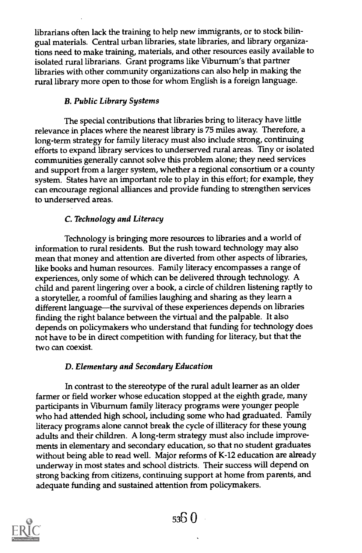librarians often lack the training to help new immigrants, or to stock bilingual materials. Central urban libraries, state libraries, and library organizations need to make training, materials, and other resources easily available to isolated rural librarians. Grant programs like Viburnum's that partner libraries with other community organizations can also help in making the rural library more open to those for whom English is a foreign language.

#### B. Public Library Systems

The special contributions that libraries bring to literacy have little relevance in places where the nearest library is 75 miles away. Therefore, a long-term strategy for family literacy must also include strong, continuing efforts to expand library services to underserved rural areas. Tiny or isolated communities generally cannot solve this problem alone; they need services and support from a larger system, whether a regional consortium or a county system. States have an important role to play in this effort; for example, they can encourage regional alliances and provide funding to strengthen services to underserved areas.

#### C. Technology and Literacy

Technology is bringing more resources to libraries and a world of information to rural residents. But the rush toward technology may also mean that money and attention are diverted from other aspects of libraries, like books and human resources. Family literacy encompasses a range of experiences, only some of which can be delivered through technology. A child and parent lingering over a book, a circle of children listening raptly to a storyteller, a roomful of families laughing and sharing as they learn a different language—the survival of these experiences depends on libraries finding the right balance between the virtual and the palpable. It also depends on policymakers who understand that funding for technology does not have to be in direct competition with funding for literacy, but that the two can coexist.

#### D. Elementary and Secondary Education

In contrast to the stereotype of the rural adult learner as an older farmer or field worker whose education stopped at the eighth grade, many participants in Viburnum family literacy programs were younger people who had attended high school, including some who had graduated. Family literacy programs alone cannot break the cycle of illiteracy for these young adults and their children. A long-term strategy must also include improvements in elementary and secondary education, so that no student graduates without being able to read well. Major reforms of K-12 education are already underway in most states and school districts. Their success will depend on strong backing from citizens, continuing support at home from parents, and adequate funding and sustained attention from policymakers.

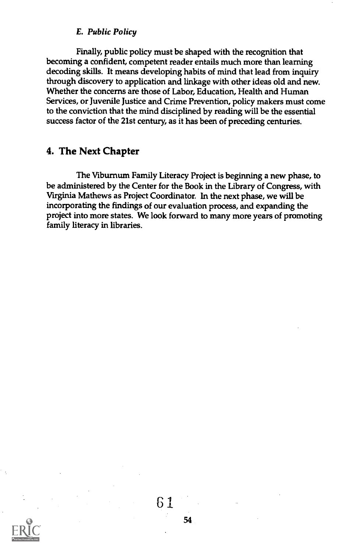#### E. Public Policy

Finally, public policy must be shaped with the recognition that becoming a confident, competent reader entails much more than learning decoding skills. It means developing habits of mind that lead from inquiry through discovery to application and linkage with other ideas old and new. Whether the concerns are those of Labor, Education, Health and Human Services, or Juvenile Justice and Crime Prevention, policy makers must come to the conviction that the mind disciplined by reading will be the essential success factor of the 21st century, as it has been of preceding centuries.

#### 4. The Next Chapter

The Viburnum Family Literacy Project is beginning a new phase, to be administered by the Center for the Book in the Library of Congress, with Virginia Mathews as Project Coordinator. In the next phase, we will be incorporating the findings of our evaluation process, and expanding the project into more states. We look forward to many more years of promoting family literacy in libraries.

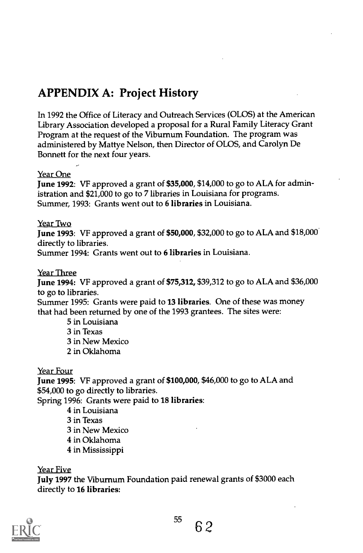# APPENDIX A: Project History

In 1992 the Office of Literacy and Outreach Services (OLOS) at the American Library Association developed a proposal for a Rural Family Literacy Grant Program at the request of the Viburnum Foundation. The program was administered by Mattye Nelson, then Director of OLOS, and Carolyn De Bonnett for the next four years.

#### Year One

June 1992: VF approved a grant of \$35,000, \$14,000 to go to ALA for administration and \$21,000 to go to 7 libraries in Louisiana for programs. Summer, 1993: Grants went out to 6 libraries in Louisiana.

#### Year Two

June 1993: VF approved a grant of \$50,000, \$32,000 to go to ALA and \$18,000 directly to libraries.

Summer 1994: Grants went out to 6 libraries in Louisiana.

#### Year Three

June 1994: VF approved a grant of \$75,312, \$39,312 to go to ALA and \$36,000 to go to libraries.

Summer 1995: Grants were paid to 13 libraries. One of these was money that had been returned by one of the 1993 grantees. The sites were:

> 5 in Louisiana 3 in Texas 3 in New Mexico 2 in Oklahoma

Year Four

June 1995: VF approved a grant of \$100,000, \$46,000 to go to ALA and \$54,000 to go directly to libraries.

Spring 1996: Grants were paid to 18 libraries:

4 in Louisiana 3 in Texas 3 in New Mexico 4 in Oklahoma 4 in Mississippi

#### Year Five

July 1997 the Viburnum Foundation paid renewal grants of \$3000 each directly to 16 libraries:

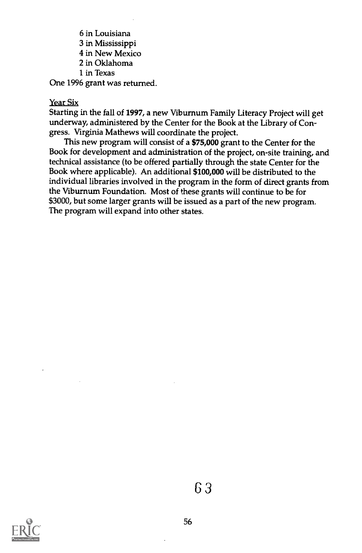6 in Louisiana 3 in Mississippi 4 in New Mexico 2 in Oklahoma 1 in Texas

One 1996 grant was returned.

#### Year Six

Starting in the fall of 1997, a new Viburnum Family Literacy Project will get underway, administered by the Center for the Book at the Library of Congress. Virginia Mathews will coordinate the project.

This new program will consist of a \$75,000 grant to the Center for the Book for development and administration of the project, on-site training, and technical assistance (to be offered partially through the state Center for the Book where applicable). An additional \$100,000 will be distributed to the individual libraries involved in the program in the form of direct grants from the Viburnum Foundation. Most of these grants will continue to be for \$3000, but some larger grants will be issued as a part of the new program. The program will expand into other states.



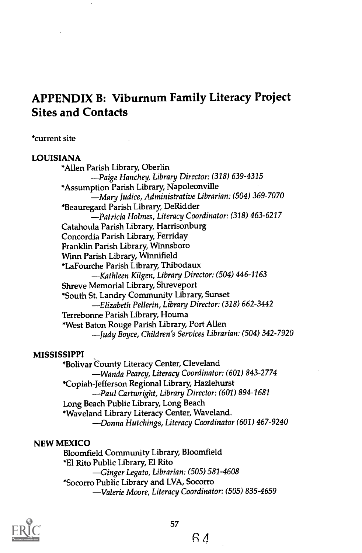# APPENDIX B: Viburnum Family Literacy Project Sites and Contacts

#### \*current site

#### LOUISIANA

\*Allen Parish Library, Oberlin Paige Hanchey, Library Director: (318) 639-4315 \*Assumption Parish Library, Napoleonville Mary Judice, Administrative Librarian: (504) 369-7070 \*Beauregard Parish Library, DeRidder -<br>- Patricia Holmes, Literacy Coordinator: (318) 463-6217 Catahoula Parish Library, Harrisonburg Concordia Parish Library, Ferriday Franklin Parish Library, Winnsboro Winn Parish Library, Winnifield \*La Fourche Parish Library, Thibodaux -Kathleen Kilgen, Library Director: (504) 446-1163 Shreve Memorial Library, Shreveport \*South St. Landry Community Library, Sunset Elizabeth Pellerin, Library Director: (318) 662-3442 Terrebonne Parish Library, Houma \*West Baton Rouge Parish Library, Port Allen -Judy Boyce, Children's Services Librarian: (504) 342-7920

#### MISSISSIPPI

\*Bolivar County Literacy Center, Cleveland Wanda Pearcy, Literacy Coordinator: (601) 843-2774 \*Copiah-Jefferson Regional Library, Hazlehurst Paul Cartwright, Library Director: (601) 894-1681 Long Beach Public Library, Long Beach \*Waveland Library Literacy Center, Waveland. Donna Hutchings, Literacy Coordinator (601) 467-9240

#### NEW MEXICO

Bloomfield Community Library, Bloomfield tEl Rito Public Library, El Rito Ginger Legato, Librarian: (505) 581-4608 \*Socorro Public Library and LVA, Socorro Valerie Moore, Literacy Coordinator: (505) 835-4659



 $64$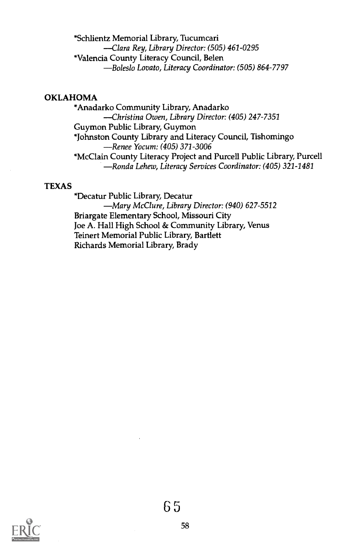\*Schlientz Memorial Library, Tucumcari Clara Rey, Library Director: (505) 461-0295 \*Valencia County Literacy Council, Belen -Boleslo Lovato, Literacy Coordinator: (505) 864-7797

#### OKLAHOMA

\*Anadarko Community Library, Anadarko Christina Owen, Library Director: (405) 247-7351 Guymon Public Library, Guymon \*Johnston County Library and Literacy Council, Tishomingo Renee Yocum: (405) 371-3006 \*McClain County Literacy Project and Purcell Public Library, Purcell Ronda Lehew, Literacy Services Coordinator: (405) 321-1481

#### TEXAS

\*Decatur Public Library, Decatur Mary McClure, Library Director: (940) 627-5512 Briargate Elementary School, Missouri City Joe A. Hall High School & Community Library, Venus Teinert Memorial Public Library, Bartlett Richards Memorial Library, Brady

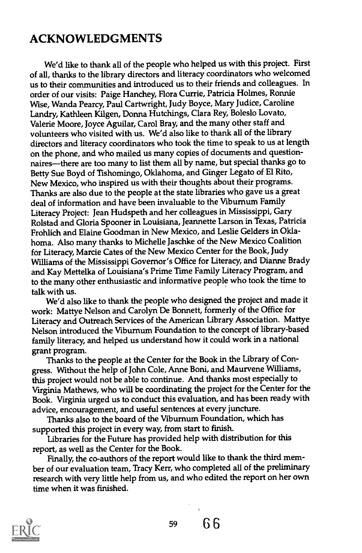# ACKNOWLEDGMENTS

We'd like to thank all of the people who helped us with this project. First of all, thanks to the library directors and literacy coordinators who welcomed us to their communities and introduced us to their friends and colleagues. In order of our visits: Paige Hanchey, Flora Currie, Patricia Holmes, Ronnie Wise, Wanda Pearcy, Paul Cartwright, Judy Boyce, Mary Judice, Caroline Landry, Kathleen Kilgen, Donna Hutchings, Clara Rey, Boleslo Lovato, Valerie Moore, Joyce Aguilar, Carol Bray, and the many other staff and volunteers who visited with us. We'd also like to thank all of the library directors and literacy coordinators who took the time to speak to us at length on the phone, and who mailed us many copies of documents and questionnaires—there are too many to list them all by name, but special thanks go to Betty Sue Boyd of Tishomingo, Oklahoma, and Ginger Legato of El Rito, New Mexico, who inspired us with their thoughts about their programs. Thanks are also due to the people at the state libraries who gave us a great deal of information and have been invaluable to the Viburnum Family Literacy Project: Jean Hudspeth and her colleagues in Mississippi, Gary Rolstad and Gloria Spooner in Louisiana, Jeannette Larson in Texas, Patricia Frohlich and Elaine Goodman in New Mexico, and Leslie Gelders in Oklahoma. Also many thanks to Michelle Jaschke of the New Mexico Coalition for Literacy, Marcie Cates of the New Mexico Center for the Book, Judy Williams of the Mississippi Governor's Office for Literacy, and Dianne Brady and Kay Mettelka of Louisiana's Prime Time Family Literacy Program, and to the many other enthusiastic and informative people who took the time to talk with us.

We'd also like to thank the people who designed the project and made it work: Mattye Nelson and Carolyn De Bonnett, formerly of the Office for Literacy and Outreach Services of the American Library Association. Mattye Nelson introduced the Viburnum Foundation to the concept of library-based family literacy, and helped us understand how it could work in a national grant program.

Thanks to the people at the Center for the Book in the Library of Congress. Without the help of John Cole, Anne Boni, and Maurvene Williams, this project would not be able to continue. And thanks most especially to Virginia Mathews, who will be coordinating the project for the Center for the Book. Virginia urged us to conduct this evaluation, and has been ready with advice, encouragement, and useful sentences at every juncture.

Thanks also to the board of the Viburnum Foundation, which has supported this project in every way, from start to finish.

Libraries for the Future has provided help with distribution for this report, as well as the Center for the Book.

Finally, the co-authors of the report would like to thank the third member of our evaluation team, Tracy Kerr, who completed all of the preliminary research with very little help from us, and who edited the report on her own time when it was finished.



<sup>59</sup> 6 6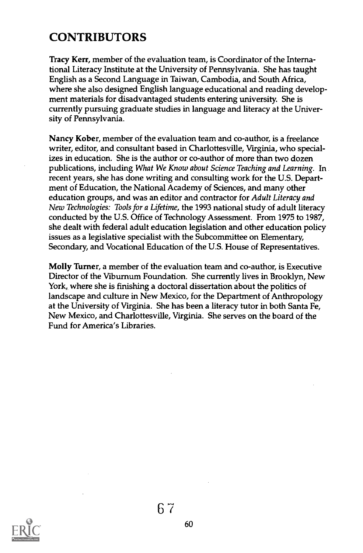# **CONTRIBUTORS**

Tracy Kerr, member of the evaluation team, is Coordinator of the International Literacy Institute at the University of Pennsylvania. She has taught English as a Second Language in Taiwan, Cambodia, and South Africa, where she also designed English language educational and reading development materials for disadvantaged students entering university. She is currently pursuing graduate studies in language and literacy at the University of Pennsylvania.

Nancy Kober, member of the evaluation team and co-author, is a freelance writer, editor, and consultant based in Charlottesville, Virginia, who specializes in education. She is the author or co-author of more than two dozen publications, including What We Know about Science Teaching and Learning. In recent years, she has done writing and consulting work for the U.S. Department of Education, the National Academy of Sciences, and many other education groups, and was an editor and contractor for Adult Literacy and New Technologies: Tools for a Lifetime, the 1993 national study of adult literacy conducted by the U.S. Office of Technology Assessment. From 1975 to 1987, she dealt with federal adult education legislation and other education policy issues as a legislative specialist with the Subcommittee on Elementary, Secondary, and Vocational Education of the U.S. House of Representatives.

Molly Turner, a member of the evaluation team and co-author, is Executive Director of the Viburnum Foundation. She currently lives in Brooklyn, New York, where she is finishing a doctoral dissertation about the politics of landscape and culture in New Mexico, for the Department of Anthropology at the University of Virginia. She has been a literacy tutor in both Santa Fe, New Mexico, and Charlottesville, Virginia. She serves on the board of the Fund for America's Libraries.

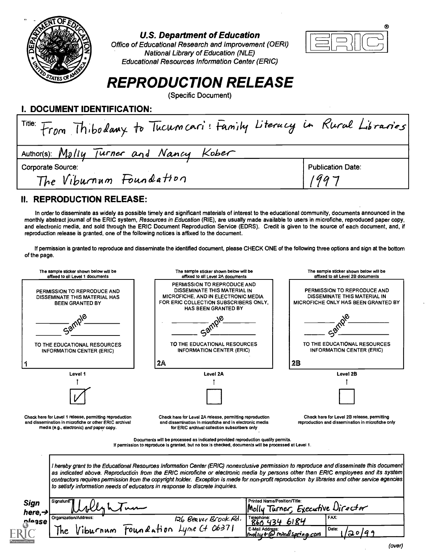

#### U.S. Department of Education

Office of Educational Research and Improvement (OERI) National Library of Education (NLE) Educational Resources Information Center (ERIC)



# REPRODUCTION RELEASE

(Specific Document)

I. DOCUMENT IDENTIFICATION:

| Title: From Thibodamy to Tucumcari: Family Literacy in Rural Libraries |                                    |
|------------------------------------------------------------------------|------------------------------------|
| Author(s): Mally Turner and Nancy Kober                                |                                    |
| <b>Corporate Source:</b><br>The Viburnum Foundation                    | <b>Publication Date:</b><br>$99 -$ |

# II. REPRODUCTION RELEASE:

In order to disseminate as widely as possible timely and significant materials of interest to the educational community, documents announced in the monthly abstract journal of the ERIC system, Resources in Education (RIE), are usually made available to users in microfiche, reproduced paper copy, and electronic media, and sold through the ERIC Document Reproduction Service (EDRS). Credit is given to the source of each document, and, if reproduction release is granted, one of the following notices is affixed to the document.

If permission is granted to reproduce and disseminate the identified document, please CHECK ONE of the following three options and sign at the bottom of the page.

| The sample sticker shown below will be<br>affixed to all Level 1 documents                                                                                    | The sample sticker shown below will be<br>affixed to all Level 2A documents                                                                                                              | The sample sticker shown below will be<br>affixed to all Level 2B documents                                                                                                                                                                                                                                                                                                                                                       |  |  |
|---------------------------------------------------------------------------------------------------------------------------------------------------------------|------------------------------------------------------------------------------------------------------------------------------------------------------------------------------------------|-----------------------------------------------------------------------------------------------------------------------------------------------------------------------------------------------------------------------------------------------------------------------------------------------------------------------------------------------------------------------------------------------------------------------------------|--|--|
| PERMISSION TO REPRODUCE AND<br>DISSEMINATE THIS MATERIAL HAS<br><b>BEEN GRANTED BY</b>                                                                        | PERMISSION TO REPRODUCE AND<br>DISSEMINATE THIS MATERIAL IN<br>MICROFICHE, AND IN ELECTRONIC MEDIA<br>FOR ERIC COLLECTION SUBSCRIBERS ONLY.<br><b>HAS BEEN GRANTED BY</b>                | PERMISSION TO REPRODUCE AND<br>DISSEMINATE THIS MATERIAL IN<br>MICROFICHE ONLY HAS BEEN GRANTED BY                                                                                                                                                                                                                                                                                                                                |  |  |
|                                                                                                                                                               |                                                                                                                                                                                          |                                                                                                                                                                                                                                                                                                                                                                                                                                   |  |  |
| TO THE EDUCATIONAL RESOURCES<br><b>INFORMATION CENTER (ERIC)</b>                                                                                              | TO THE EDUCATIONAL RESOURCES<br><b>INFORMATION CENTER (ERIC)</b>                                                                                                                         | TO THE EDUCATIONAL RESOURCES<br><b>INFORMATION CENTER (ERIC)</b>                                                                                                                                                                                                                                                                                                                                                                  |  |  |
|                                                                                                                                                               | 2A                                                                                                                                                                                       | 2B                                                                                                                                                                                                                                                                                                                                                                                                                                |  |  |
| Level 1                                                                                                                                                       | Level 2A                                                                                                                                                                                 | Level 2B                                                                                                                                                                                                                                                                                                                                                                                                                          |  |  |
|                                                                                                                                                               |                                                                                                                                                                                          |                                                                                                                                                                                                                                                                                                                                                                                                                                   |  |  |
|                                                                                                                                                               |                                                                                                                                                                                          |                                                                                                                                                                                                                                                                                                                                                                                                                                   |  |  |
| Check here for Level 1 release, permitting reproduction<br>and dissemination in microfiche or other ERIC archival<br>media (e.g., electronic) and paper copy. | Check here for Level 2A release, permitting reproduction<br>and dissemination in microfiche and in electronic media<br>for ERIC archival collection subscribers only                     | Check here for Level 2B release, permitting<br>reproduction and dissemination in microfiche only                                                                                                                                                                                                                                                                                                                                  |  |  |
|                                                                                                                                                               | Documents will be processed as indicated provided reproduction quality permits.<br>If permission to reproduce is granted, but no box is checked, documents will be processed at Level 1. |                                                                                                                                                                                                                                                                                                                                                                                                                                   |  |  |
|                                                                                                                                                               | to setisfy information needs of educators in response to discrete inquiries.                                                                                                             | I hereby grant to the Educational Resources Information Center (ERIC) nonexclusive permission to reproduce and disseminate this document<br>as indicated above. Reproduction from the ERIC microfiche or electronic media by persons other than ERIC employees and its system<br>contractors requires permission from the copyright holder. Exception is mede for non-profit reproduction by libraries and other service egencies |  |  |
| Signature<br>Sign<br>here. $\rightarrow$                                                                                                                      |                                                                                                                                                                                          | Printed Name/Position/Title:<br>Turner, Executive Director                                                                                                                                                                                                                                                                                                                                                                        |  |  |
| Organization/Addres                                                                                                                                           | NADDRESS: 126 Beaver Brook Rd.<br>Viburnum Foundation Lyne Ct 06371                                                                                                                      | <b>FAX:</b><br>Telephone:                                                                                                                                                                                                                                                                                                                                                                                                         |  |  |
| DIAASE                                                                                                                                                        |                                                                                                                                                                                          |                                                                                                                                                                                                                                                                                                                                                                                                                                   |  |  |

(over)